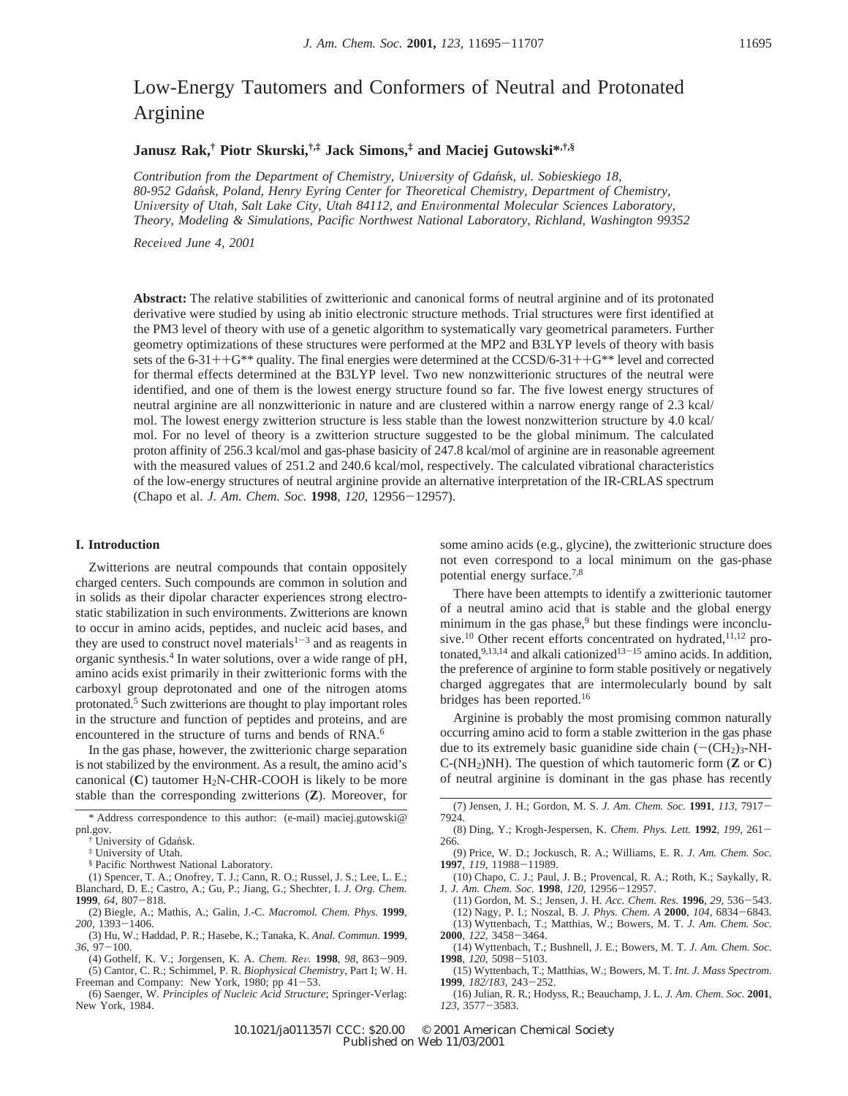# Low-Energy Tautomers and Conformers of Neutral and Protonated Arginine

# **Janusz Rak,† Piotr Skurski,†,‡ Jack Simons,‡ and Maciej Gutowski\*,†,§**

*Contribution from the Department of Chemistry, University of Gdańsk, ul. Sobieskiego 18, 80-952 Gdan*´*sk, Poland, Henry Eyring Center for Theoretical Chemistry, Department of Chemistry, University of Utah, Salt Lake City, Utah 84112, and Environmental Molecular Sciences Laboratory, Theory, Modeling & Simulations, Pacific Northwest National Laboratory, Richland, Washington 99352*

*Recei*V*ed June 4, 2001*

**Abstract:** The relative stabilities of zwitterionic and canonical forms of neutral arginine and of its protonated derivative were studied by using ab initio electronic structure methods. Trial structures were first identified at the PM3 level of theory with use of a genetic algorithm to systematically vary geometrical parameters. Further geometry optimizations of these structures were performed at the MP2 and B3LYP levels of theory with basis sets of the 6-31++G\*\* quality. The final energies were determined at the CCSD/6-31++G\*\* level and corrected for thermal effects determined at the B3LYP level. Two new nonzwitterionic structures of the neutral were identified, and one of them is the lowest energy structure found so far. The five lowest energy structures of neutral arginine are all nonzwitterionic in nature and are clustered within a narrow energy range of 2.3 kcal/ mol. The lowest energy zwitterion structure is less stable than the lowest nonzwitterion structure by 4.0 kcal/ mol. For no level of theory is a zwitterion structure suggested to be the global minimum. The calculated proton affinity of 256.3 kcal/mol and gas-phase basicity of 247.8 kcal/mol of arginine are in reasonable agreement with the measured values of 251.2 and 240.6 kcal/mol, respectively. The calculated vibrational characteristics of the low-energy structures of neutral arginine provide an alternative interpretation of the IR-CRLAS spectrum (Chapo et al. *J. Am. Chem. Soc.* **<sup>1998</sup>**, *<sup>120</sup>*, 12956-12957).

## **I. Introduction**

Zwitterions are neutral compounds that contain oppositely charged centers. Such compounds are common in solution and in solids as their dipolar character experiences strong electrostatic stabilization in such environments. Zwitterions are known to occur in amino acids, peptides, and nucleic acid bases, and they are used to construct novel materials<sup> $1-3$ </sup> and as reagents in organic synthesis.4 In water solutions, over a wide range of pH, amino acids exist primarily in their zwitterionic forms with the carboxyl group deprotonated and one of the nitrogen atoms protonated.5 Such zwitterions are thought to play important roles in the structure and function of peptides and proteins, and are encountered in the structure of turns and bends of RNA.<sup>6</sup>

In the gas phase, however, the zwitterionic charge separation is not stabilized by the environment. As a result, the amino acid's canonical  $(C)$  tautomer  $H_2N$ -CHR-COOH is likely to be more stable than the corresponding zwitterions (**Z**). Moreover, for

§ Pacific Northwest National Laboratory.

(1) Spencer, T. A.; Onofrey, T. J.; Cann, R. O.; Russel, J. S.; Lee, L. E.; Blanchard, D. E.; Castro, A.; Gu, P.; Jiang, G.; Shechter, I. *J. Org. Chem.* **<sup>1999</sup>**, *<sup>64</sup>*, 807-818.

(2) Biegle, A.; Mathis, A.; Galin, J.-C. *Macromol. Chem. Phys.* **1999**, *<sup>200</sup>*, 1393-1406.

(3) Hu, W.; Haddad, P. R.; Hasebe, K.; Tanaka, K. *Anal. Commun.* **1999**, *<sup>36</sup>*, 97-100.

(4) Gothelf, K. V.; Jorgensen, K. A. *Chem. Re*V*.* **<sup>1998</sup>**, *<sup>98</sup>*, 863-909. (5) Cantor, C. R.; Schimmel, P. R. *Biophysical Chemistry*, Part I; W. H. Freeman and Company: New York, 1980; pp 41-53.

(6) Saenger, W. *Principles of Nucleic Acid Structure*; Springer-Verlag: New York, 1984.

some amino acids (e.g., glycine), the zwitterionic structure does not even correspond to a local minimum on the gas-phase potential energy surface.7,8

There have been attempts to identify a zwitterionic tautomer of a neutral amino acid that is stable and the global energy minimum in the gas phase, $9$  but these findings were inconclusive.<sup>10</sup> Other recent efforts concentrated on hydrated,<sup>11,12</sup> protonated,  $9,13,14$  and alkali cationized  $13-15$  amino acids. In addition, the preference of arginine to form stable positively or negatively charged aggregates that are intermolecularly bound by salt bridges has been reported.16

Arginine is probably the most promising common naturally occurring amino acid to form a stable zwitterion in the gas phase due to its extremely basic guanidine side chain  $(-\text{CH}_2)_3\text{-}NH$ - $C$ -(NH<sub>2</sub>)NH). The question of which tautomeric form (**Z** or **C**) of neutral arginine is dominant in the gas phase has recently

- (8) Ding, Y.; Krogh-Jespersen, K. *Chem. Phys. Lett.* **<sup>1992</sup>**, *<sup>199</sup>*, 261- 266.
- (9) Price, W. D.; Jockusch, R. A.; Williams, E. R. *J. Am. Chem. Soc.* **<sup>1997</sup>**, *<sup>119</sup>*, 11988-11989.
- (10) Chapo, C. J.; Paul, J. B.; Provencal, R. A.; Roth, K.; Saykally, R. J. J. Am. Chem. Soc. 1998, 120, 12956–12957. J. *J. Am. Chem. Soc.* **<sup>1998</sup>**, *<sup>120</sup>*, 12956-12957.
- (11) Gordon, M. S.; Jensen, J. H. *Acc. Chem. Res.* **<sup>1996</sup>**, *<sup>29</sup>*, 536-543. (12) Nagy, P. I.; Noszal, B. *J. Phys. Chem. A* **<sup>2000</sup>**, *<sup>104</sup>*, 6834-6843.

(13) Wyttenbach, T.; Matthias, W.; Bowers, M. T. *J. Am. Chem. Soc.* **<sup>2000</sup>**, *122,* <sup>3458</sup>-3464.

- (14) Wyttenbach, T.; Bushnell, J. E.; Bowers, M. T. *J. Am. Chem. Soc.* **<sup>1998</sup>**, *<sup>120</sup>*, 5098-5103.
- (15) Wyttenbach, T.; Matthias, W.; Bowers, M. T. *Int. J. Mass Spectrom.* **<sup>1999</sup>**, *182/183*, 243-252.

(16) Julian, R. R.; Hodyss, R.; Beauchamp, J. L. *J. Am. Chem. Soc.* **2001**, *<sup>123</sup>*, 3577-3583.

<sup>\*</sup> Address correspondence to this author: (e-mail) maciej.gutowski@ pnl.gov.

University of Gdańsk.

<sup>‡</sup> University of Utah.

<sup>(7)</sup> Jensen, J. H.; Gordon, M. S. *J. Am. Chem. Soc.* **<sup>1991</sup>**, *<sup>113</sup>*, 7917- 7924.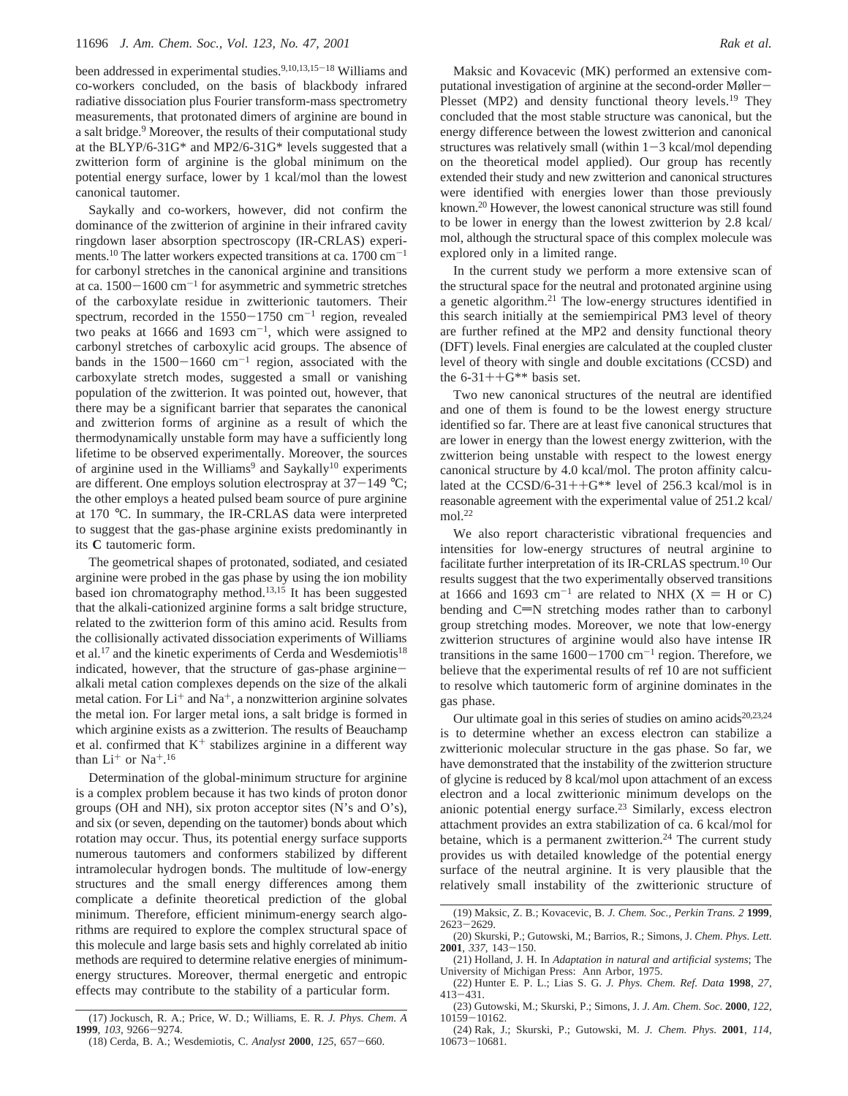been addressed in experimental studies.<sup>9,10,13,15-18</sup> Williams and co-workers concluded, on the basis of blackbody infrared radiative dissociation plus Fourier transform-mass spectrometry measurements, that protonated dimers of arginine are bound in a salt bridge.<sup>9</sup> Moreover, the results of their computational study at the BLYP/6-31G\* and MP2/6-31G\* levels suggested that a zwitterion form of arginine is the global minimum on the potential energy surface, lower by 1 kcal/mol than the lowest canonical tautomer.

Saykally and co-workers, however, did not confirm the dominance of the zwitterion of arginine in their infrared cavity ringdown laser absorption spectroscopy (IR-CRLAS) experiments.<sup>10</sup> The latter workers expected transitions at ca. 1700 cm<sup>-1</sup> for carbonyl stretches in the canonical arginine and transitions at ca.  $1500-1600$  cm<sup>-1</sup> for asymmetric and symmetric stretches of the carboxylate residue in zwitterionic tautomers. Their spectrum, recorded in the  $1550-1750$  cm<sup>-1</sup> region, revealed two peaks at 1666 and 1693  $cm^{-1}$ , which were assigned to carbonyl stretches of carboxylic acid groups. The absence of bands in the  $1500-1660$  cm<sup>-1</sup> region, associated with the carboxylate stretch modes, suggested a small or vanishing population of the zwitterion. It was pointed out, however, that there may be a significant barrier that separates the canonical and zwitterion forms of arginine as a result of which the thermodynamically unstable form may have a sufficiently long lifetime to be observed experimentally. Moreover, the sources of arginine used in the Williams<sup>9</sup> and Saykally<sup>10</sup> experiments are different. One employs solution electrospray at  $37-149$  °C; the other employs a heated pulsed beam source of pure arginine at 170 °C. In summary, the IR-CRLAS data were interpreted to suggest that the gas-phase arginine exists predominantly in its **C** tautomeric form.

The geometrical shapes of protonated, sodiated, and cesiated arginine were probed in the gas phase by using the ion mobility based ion chromatography method.<sup>13,15</sup> It has been suggested that the alkali-cationized arginine forms a salt bridge structure, related to the zwitterion form of this amino acid. Results from the collisionally activated dissociation experiments of Williams et al.<sup>17</sup> and the kinetic experiments of Cerda and Wesdemiotis<sup>18</sup> indicated, however, that the structure of gas-phase argininealkali metal cation complexes depends on the size of the alkali metal cation. For  $Li^+$  and  $Na^+$ , a nonzwitterion arginine solvates the metal ion. For larger metal ions, a salt bridge is formed in which arginine exists as a zwitterion. The results of Beauchamp et al. confirmed that  $K^+$  stabilizes arginine in a different way than  $Li^+$  or  $Na^+.16$ 

Determination of the global-minimum structure for arginine is a complex problem because it has two kinds of proton donor groups (OH and NH), six proton acceptor sites (N's and O's), and six (or seven, depending on the tautomer) bonds about which rotation may occur. Thus, its potential energy surface supports numerous tautomers and conformers stabilized by different intramolecular hydrogen bonds. The multitude of low-energy structures and the small energy differences among them complicate a definite theoretical prediction of the global minimum. Therefore, efficient minimum-energy search algorithms are required to explore the complex structural space of this molecule and large basis sets and highly correlated ab initio methods are required to determine relative energies of minimumenergy structures. Moreover, thermal energetic and entropic effects may contribute to the stability of a particular form.

Maksic and Kovacevic (MK) performed an extensive computational investigation of arginine at the second-order Møller-Plesset (MP2) and density functional theory levels.<sup>19</sup> They concluded that the most stable structure was canonical, but the energy difference between the lowest zwitterion and canonical structures was relatively small (within  $1-3$  kcal/mol depending on the theoretical model applied). Our group has recently extended their study and new zwitterion and canonical structures were identified with energies lower than those previously known.20 However, the lowest canonical structure was still found to be lower in energy than the lowest zwitterion by 2.8 kcal/ mol, although the structural space of this complex molecule was explored only in a limited range.

In the current study we perform a more extensive scan of the structural space for the neutral and protonated arginine using a genetic algorithm.21 The low-energy structures identified in this search initially at the semiempirical PM3 level of theory are further refined at the MP2 and density functional theory (DFT) levels. Final energies are calculated at the coupled cluster level of theory with single and double excitations (CCSD) and the  $6-31++G**$  basis set.

Two new canonical structures of the neutral are identified and one of them is found to be the lowest energy structure identified so far. There are at least five canonical structures that are lower in energy than the lowest energy zwitterion, with the zwitterion being unstable with respect to the lowest energy canonical structure by 4.0 kcal/mol. The proton affinity calculated at the CCSD/6-31++ $G^{**}$  level of 256.3 kcal/mol is in reasonable agreement with the experimental value of 251.2 kcal/  $mol.<sup>22</sup>$ 

We also report characteristic vibrational frequencies and intensities for low-energy structures of neutral arginine to facilitate further interpretation of its IR-CRLAS spectrum.10 Our results suggest that the two experimentally observed transitions at 1666 and 1693 cm<sup>-1</sup> are related to NHX (X = H or C) bending and  $C=N$  stretching modes rather than to carbonyl group stretching modes. Moreover, we note that low-energy zwitterion structures of arginine would also have intense IR transitions in the same  $1600-1700$  cm<sup>-1</sup> region. Therefore, we believe that the experimental results of ref 10 are not sufficient to resolve which tautomeric form of arginine dominates in the gas phase.

Our ultimate goal in this series of studies on amino acids<sup>20,23,24</sup> is to determine whether an excess electron can stabilize a zwitterionic molecular structure in the gas phase. So far, we have demonstrated that the instability of the zwitterion structure of glycine is reduced by 8 kcal/mol upon attachment of an excess electron and a local zwitterionic minimum develops on the anionic potential energy surface.23 Similarly, excess electron attachment provides an extra stabilization of ca. 6 kcal/mol for betaine, which is a permanent zwitterion.<sup>24</sup> The current study provides us with detailed knowledge of the potential energy surface of the neutral arginine. It is very plausible that the relatively small instability of the zwitterionic structure of

<sup>(17)</sup> Jockusch, R. A.; Price, W. D.; Williams, E. R. *J. Phys. Chem. A* **<sup>1999</sup>**, *<sup>103</sup>*, 9266-9274.

<sup>(18)</sup> Cerda, B. A.; Wesdemiotis, C. *Analyst* **<sup>2000</sup>**, *<sup>125</sup>*, 657-660.

<sup>(19)</sup> Maksic, Z. B.; Kovacevic, B. *J. Chem. Soc., Perkin Trans. 2* **1999**, <sup>2623</sup>-2629.

<sup>(20)</sup> Skurski, P.; Gutowski, M.; Barrios, R.; Simons, J. *Chem. Phys. Lett.* **<sup>2001</sup>**, *<sup>337</sup>*, 143-150. (21) Holland, J. H. In *Adaptation in natural and artificial systems*; The

University of Michigan Press: Ann Arbor, 1975.

<sup>(22)</sup> Hunter E. P. L.; Lias S. G. *J. Phys. Chem. Ref. Data* **1998**, *27*,  $413 - 431$ .

<sup>(23)</sup> Gutowski, M.; Skurski, P.; Simons, J. *J. Am. Chem. Soc*. **2000**, *122*, <sup>10159</sup>-10162.

<sup>(24)</sup> Rak, J.; Skurski, P.; Gutowski, M. *J. Chem. Phys*. **2001**, *114*, <sup>10673</sup>-10681.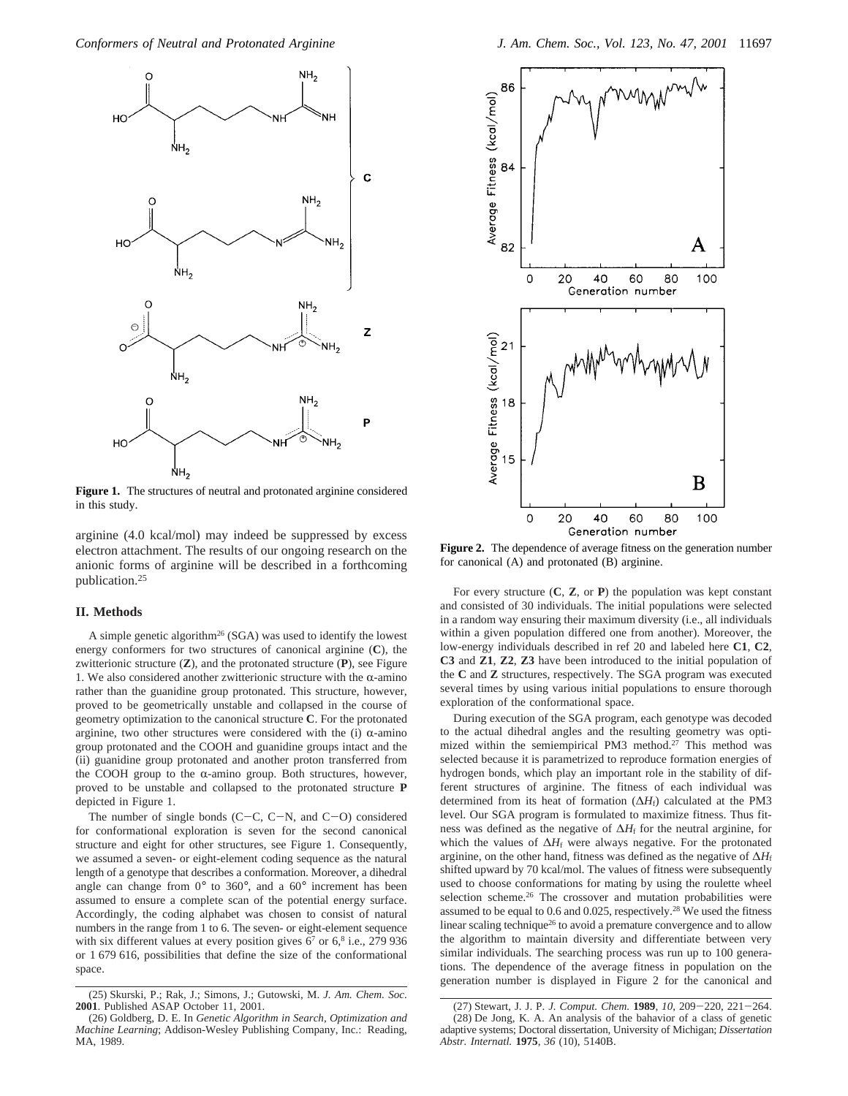

**Figure 1.** The structures of neutral and protonated arginine considered in this study.

arginine (4.0 kcal/mol) may indeed be suppressed by excess electron attachment. The results of our ongoing research on the anionic forms of arginine will be described in a forthcoming publication.25

#### **II. Methods**

A simple genetic algorithm26 (SGA) was used to identify the lowest energy conformers for two structures of canonical arginine (**C**), the zwitterionic structure (**Z**), and the protonated structure (**P**), see Figure 1. We also considered another zwitterionic structure with the  $\alpha$ -amino rather than the guanidine group protonated. This structure, however, proved to be geometrically unstable and collapsed in the course of geometry optimization to the canonical structure **C**. For the protonated arginine, two other structures were considered with the (i)  $\alpha$ -amino group protonated and the COOH and guanidine groups intact and the (ii) guanidine group protonated and another proton transferred from the COOH group to the  $\alpha$ -amino group. Both structures, however, proved to be unstable and collapsed to the protonated structure **P** depicted in Figure 1.

The number of single bonds  $(C-C, C-N,$  and  $C-O$ ) considered for conformational exploration is seven for the second canonical structure and eight for other structures, see Figure 1. Consequently, we assumed a seven- or eight-element coding sequence as the natural length of a genotype that describes a conformation. Moreover, a dihedral angle can change from 0° to 360°, and a 60° increment has been assumed to ensure a complete scan of the potential energy surface. Accordingly, the coding alphabet was chosen to consist of natural numbers in the range from 1 to 6. The seven- or eight-element sequence with six different values at every position gives  $6^7$  or  $6^8$  i.e., 279 936 or 1 679 616, possibilities that define the size of the conformational space.



Figure 2. The dependence of average fitness on the generation number for canonical (A) and protonated (B) arginine.

For every structure (**C**, **Z**, or **P**) the population was kept constant and consisted of 30 individuals. The initial populations were selected in a random way ensuring their maximum diversity (i.e., all individuals within a given population differed one from another). Moreover, the low-energy individuals described in ref 20 and labeled here **C1**, **C2**, **C3** and **Z1**, **Z2**, **Z3** have been introduced to the initial population of the **C** and **Z** structures, respectively. The SGA program was executed several times by using various initial populations to ensure thorough exploration of the conformational space.

During execution of the SGA program, each genotype was decoded to the actual dihedral angles and the resulting geometry was optimized within the semiempirical PM3 method.<sup>27</sup> This method was selected because it is parametrized to reproduce formation energies of hydrogen bonds, which play an important role in the stability of different structures of arginine. The fitness of each individual was determined from its heat of formation (∆*H*f) calculated at the PM3 level. Our SGA program is formulated to maximize fitness. Thus fitness was defined as the negative of Δ*H*<sub>f</sub> for the neutral arginine, for which the values of Δ*H*<sub>f</sub> were always negative. For the protonated arginine, on the other hand, fitness was defined as the negative of  $\Delta H_f$ shifted upward by 70 kcal/mol. The values of fitness were subsequently used to choose conformations for mating by using the roulette wheel selection scheme.26 The crossover and mutation probabilities were assumed to be equal to 0.6 and 0.025, respectively.28 We used the fitness linear scaling technique<sup>26</sup> to avoid a premature convergence and to allow the algorithm to maintain diversity and differentiate between very similar individuals. The searching process was run up to 100 generations. The dependence of the average fitness in population on the generation number is displayed in Figure 2 for the canonical and

<sup>(25)</sup> Skurski, P.; Rak, J.; Simons, J.; Gutowski, M. *J. Am. Chem. Soc*. **2001**. Published ASAP October 11, 2001.

<sup>(26)</sup> Goldberg, D. E. In *Genetic Algorithm in Search, Optimization and Machine Learning*; Addison-Wesley Publishing Company, Inc.: Reading, MA, 1989.

<sup>(27)</sup> Stewart, J. J. P. *J. Comput. Chem.* **<sup>1989</sup>**, *<sup>10</sup>*, 209-220, 221-264. (28) De Jong, K. A. An analysis of the bahavior of a class of genetic adaptive systems; Doctoral dissertation, University of Michigan; *Dissertation Abstr. Internatl.* **1975**, *36* (10), 5140B.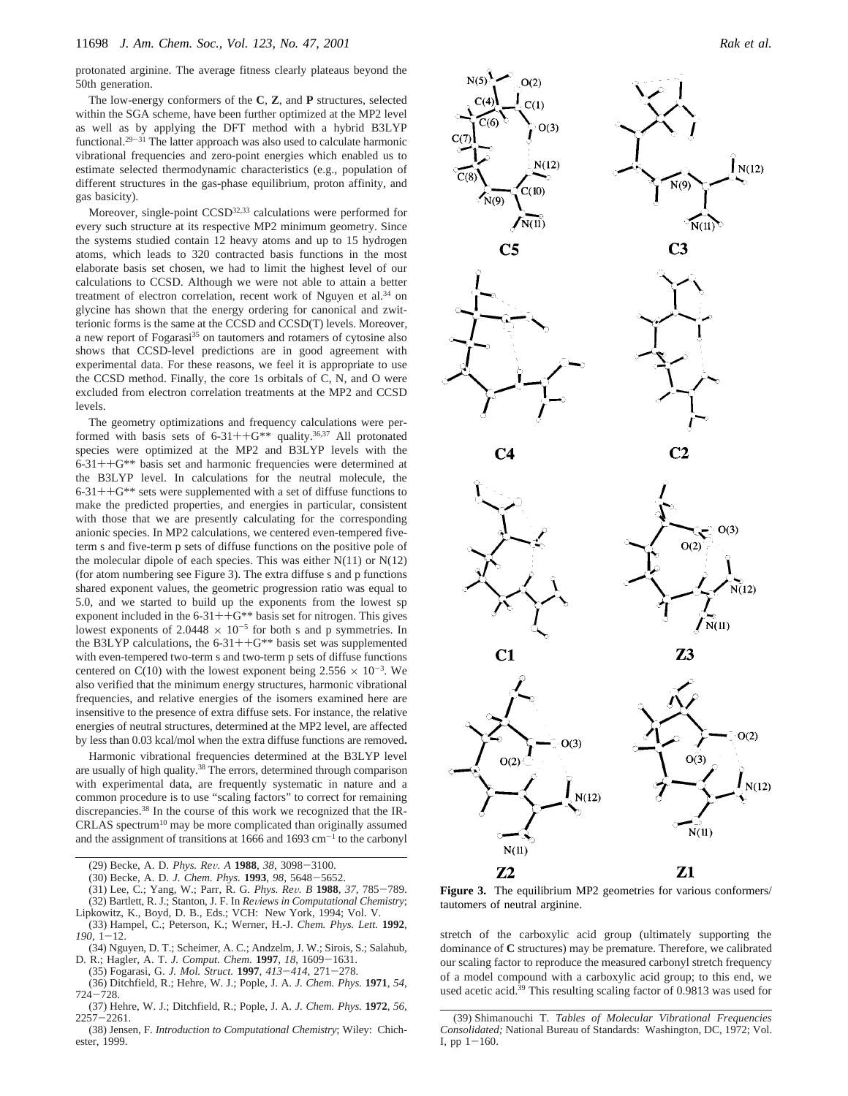protonated arginine. The average fitness clearly plateaus beyond the 50th generation.

The low-energy conformers of the **C**, **Z**, and **P** structures, selected within the SGA scheme, have been further optimized at the MP2 level as well as by applying the DFT method with a hybrid B3LYP functional.29-<sup>31</sup> The latter approach was also used to calculate harmonic vibrational frequencies and zero-point energies which enabled us to estimate selected thermodynamic characteristics (e.g., population of different structures in the gas-phase equilibrium, proton affinity, and gas basicity).

Moreover, single-point CCSD32,33 calculations were performed for every such structure at its respective MP2 minimum geometry. Since the systems studied contain 12 heavy atoms and up to 15 hydrogen atoms, which leads to 320 contracted basis functions in the most elaborate basis set chosen, we had to limit the highest level of our calculations to CCSD. Although we were not able to attain a better treatment of electron correlation, recent work of Nguyen et al.<sup>34</sup> on glycine has shown that the energy ordering for canonical and zwitterionic forms is the same at the CCSD and CCSD(T) levels. Moreover, a new report of Fogarasi<sup>35</sup> on tautomers and rotamers of cytosine also shows that CCSD-level predictions are in good agreement with experimental data. For these reasons, we feel it is appropriate to use the CCSD method. Finally, the core 1s orbitals of C, N, and O were excluded from electron correlation treatments at the MP2 and CCSD levels.

The geometry optimizations and frequency calculations were performed with basis sets of  $6-31++G^{**}$  quality.<sup>36,37</sup> All protonated species were optimized at the MP2 and B3LYP levels with the 6-31++G\*\* basis set and harmonic frequencies were determined at the B3LYP level. In calculations for the neutral molecule, the  $6-31++G$ <sup>\*\*</sup> sets were supplemented with a set of diffuse functions to make the predicted properties, and energies in particular, consistent with those that we are presently calculating for the corresponding anionic species. In MP2 calculations, we centered even-tempered fiveterm s and five-term p sets of diffuse functions on the positive pole of the molecular dipole of each species. This was either  $N(11)$  or  $N(12)$ (for atom numbering see Figure 3). The extra diffuse s and p functions shared exponent values, the geometric progression ratio was equal to 5.0, and we started to build up the exponents from the lowest sp exponent included in the  $6-31++G^{**}$  basis set for nitrogen. This gives lowest exponents of 2.0448  $\times$  10<sup>-5</sup> for both s and p symmetries. In the B3LYP calculations, the  $6-31++G^{**}$  basis set was supplemented with even-tempered two-term s and two-term p sets of diffuse functions centered on C(10) with the lowest exponent being  $2.556 \times 10^{-3}$ . We also verified that the minimum energy structures, harmonic vibrational frequencies, and relative energies of the isomers examined here are insensitive to the presence of extra diffuse sets. For instance, the relative energies of neutral structures, determined at the MP2 level, are affected by less than 0.03 kcal/mol when the extra diffuse functions are removed**.**

Harmonic vibrational frequencies determined at the B3LYP level are usually of high quality.<sup>38</sup> The errors, determined through comparison with experimental data, are frequently systematic in nature and a common procedure is to use "scaling factors" to correct for remaining discrepancies.38 In the course of this work we recognized that the IR- $CRLAS$  spectrum<sup>10</sup> may be more complicated than originally assumed and the assignment of transitions at 1666 and 1693  $cm^{-1}$  to the carbonyl

- (30) Becke, A. D. *J. Chem. Phys.* **<sup>1993</sup>**, *<sup>98</sup>*, 5648-5652.
- (31) Lee, C.; Yang, W.; Parr, R. G. *Phys. Re*V*. B* **<sup>1988</sup>**, *<sup>37</sup>*, 785-789. (32) Bartlett, R. J.; Stanton, J. F. In *Reviews in Computational Chemistry*;
- Lipkowitz, K., Boyd, D. B., Eds.; VCH: New York, 1994; Vol. V. (33) Hampel, C.; Peterson, K.; Werner, H.-J. *Chem. Phys. Lett.* **1992**,  $190, 1 - 12.$
- (34) Nguyen, D. T.; Scheimer, A. C.; Andzelm, J. W.; Sirois, S.; Salahub, D. R.; Hagler, A. T. *J. Comput. Chem.* **<sup>1997</sup>**, *<sup>18</sup>*, 1609-1631.
- (35) Fogarasi, G. *J. Mol. Struct.* **<sup>1997</sup>**, *<sup>413</sup>*-*414*, 271-278.
- (36) Ditchfield, R.; Hehre, W. J.; Pople, J. A. *J. Chem. Phys.* **1971**, *54*, <sup>724</sup>-728.
- (37) Hehre, W. J.; Ditchfield, R.; Pople, J. A. *J. Chem. Phys.* **1972**, *56*, <sup>2257</sup>-2261.
- (38) Jensen, F. *Introduction to Computational Chemistry*; Wiley: Chichester, 1999.



**Figure 3.** The equilibrium MP2 geometries for various conformers/ tautomers of neutral arginine.

stretch of the carboxylic acid group (ultimately supporting the dominance of **C** structures) may be premature. Therefore, we calibrated our scaling factor to reproduce the measured carbonyl stretch frequency of a model compound with a carboxylic acid group; to this end, we used acetic acid.39 This resulting scaling factor of 0.9813 was used for

<sup>(29)</sup> Becke, A. D. *Phys. Re*V*. A* **<sup>1988</sup>**, *<sup>38</sup>*, 3098-3100.

<sup>(39)</sup> Shimanouchi T. *Tables of Molecular Vibrational Frequencies Consolidated;* National Bureau of Standards: Washington, DC, 1972; Vol. I, pp  $1-160$ .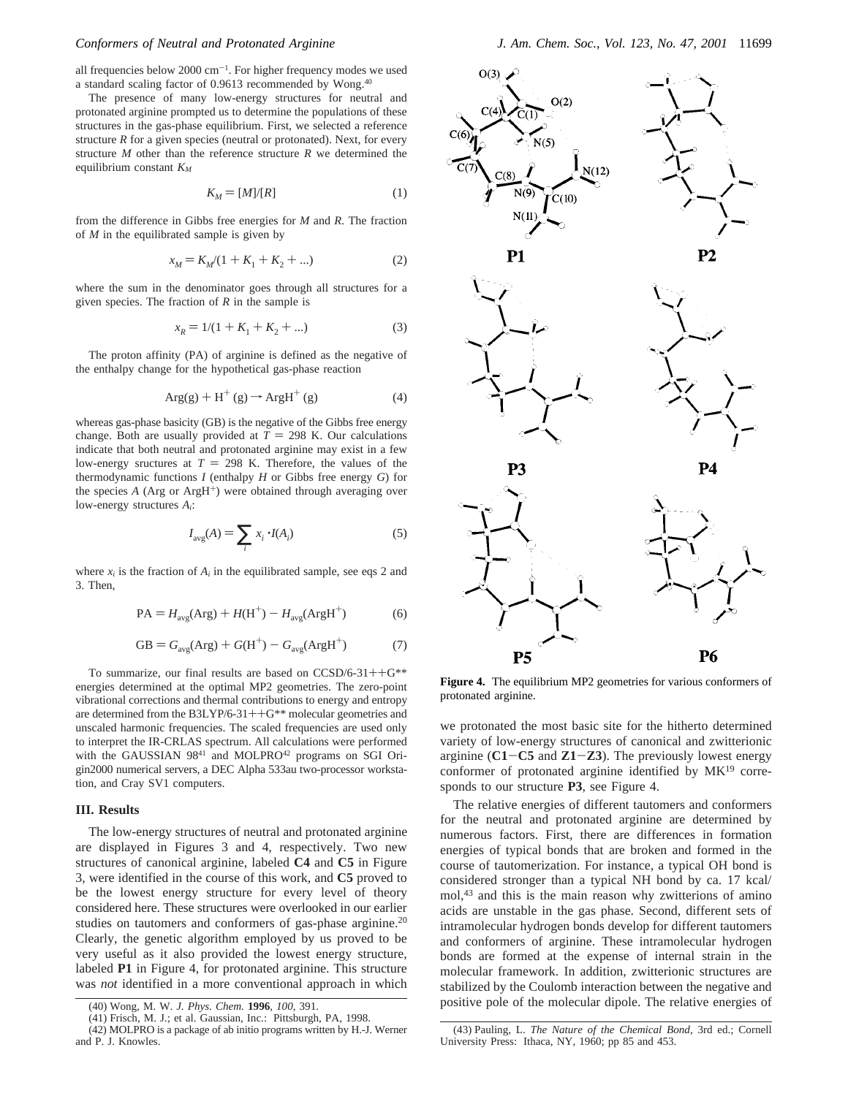all frequencies below 2000 cm<sup>-1</sup>. For higher frequency modes we used a standard scaling factor of 0.9613 recommended by Wong.40

The presence of many low-energy structures for neutral and protonated arginine prompted us to determine the populations of these structures in the gas-phase equilibrium. First, we selected a reference structure  $R$  for a given species (neutral or protonated). Next, for every structure *M* other than the reference structure *R* we determined the equilibrium constant *KM*

$$
K_M = [M]/[R] \tag{1}
$$

from the difference in Gibbs free energies for *M* and *R*. The fraction of *M* in the equilibrated sample is given by

$$
x_M = K_M/(1 + K_1 + K_2 + \dots)
$$
 (2)

where the sum in the denominator goes through all structures for a given species. The fraction of *R* in the sample is

$$
x_R = 1/(1 + K_1 + K_2 + ...) \tag{3}
$$

The proton affinity (PA) of arginine is defined as the negative of the enthalpy change for the hypothetical gas-phase reaction

$$
Arg(g) + H^+(g) \to ArgH^+(g)
$$
 (4)

whereas gas-phase basicity (GB) is the negative of the Gibbs free energy change. Both are usually provided at  $T = 298$  K. Our calculations indicate that both neutral and protonated arginine may exist in a few low-energy sructures at  $T = 298$  K. Therefore, the values of the thermodynamic functions *I* (enthalpy *H* or Gibbs free energy *G*) for the species  $A$  (Arg or Arg $H^+$ ) were obtained through averaging over low-energy structures *Ai*:

$$
I_{\text{avg}}(A) = \sum_{i} x_i \cdot I(A_i) \tag{5}
$$

where  $x_i$  is the fraction of  $A_i$  in the equilibrated sample, see eqs 2 and 3. Then,

$$
PA = Havg(Arg) + H(H+) - Havg(ArgH+)
$$
 (6)

$$
GB = Gavg(Arg) + G(H+) - Gavg(ArgH+)
$$
 (7)

To summarize, our final results are based on  $CCSD/6-31++G^{**}$ energies determined at the optimal MP2 geometries. The zero-point vibrational corrections and thermal contributions to energy and entropy are determined from the B3LYP/6-31++G\*\* molecular geometries and unscaled harmonic frequencies. The scaled frequencies are used only to interpret the IR-CRLAS spectrum. All calculations were performed with the GAUSSIAN  $98^{41}$  and MOLPRO<sup>42</sup> programs on SGI Origin2000 numerical servers, a DEC Alpha 533au two-processor workstation, and Cray SV1 computers.

#### **III. Results**

The low-energy structures of neutral and protonated arginine are displayed in Figures 3 and 4, respectively. Two new structures of canonical arginine, labeled **C4** and **C5** in Figure 3, were identified in the course of this work, and **C5** proved to be the lowest energy structure for every level of theory considered here. These structures were overlooked in our earlier studies on tautomers and conformers of gas-phase arginine.<sup>20</sup> Clearly, the genetic algorithm employed by us proved to be very useful as it also provided the lowest energy structure, labeled **P1** in Figure 4, for protonated arginine. This structure was *not* identified in a more conventional approach in which



**Figure 4.** The equilibrium MP2 geometries for various conformers of protonated arginine.

we protonated the most basic site for the hitherto determined variety of low-energy structures of canonical and zwitterionic arginine  $(C1 - C5)$  and  $Z1 - Z3$ ). The previously lowest energy conformer of protonated arginine identified by  $MK<sup>19</sup>$  corresponds to our structure **P3**, see Figure 4.

The relative energies of different tautomers and conformers for the neutral and protonated arginine are determined by numerous factors. First, there are differences in formation energies of typical bonds that are broken and formed in the course of tautomerization. For instance, a typical OH bond is considered stronger than a typical NH bond by ca. 17 kcal/ mol,43 and this is the main reason why zwitterions of amino acids are unstable in the gas phase. Second, different sets of intramolecular hydrogen bonds develop for different tautomers and conformers of arginine. These intramolecular hydrogen bonds are formed at the expense of internal strain in the molecular framework. In addition, zwitterionic structures are stabilized by the Coulomb interaction between the negative and positive pole of the molecular dipole. The relative energies of (40) Wong, M. W. *J. Phys. Chem.* **<sup>1996</sup>**, *<sup>100</sup>*, 391.

<sup>(41)</sup> Frisch, M. J.; et al. Gaussian, Inc.: Pittsburgh, PA, 1998.

<sup>(42)</sup> MOLPRO is a package of ab initio programs written by H.-J. Werner and P. J. Knowles.

<sup>(43)</sup> Pauling, L. *The Nature of the Chemical Bond*, 3rd ed.; Cornell University Press: Ithaca, NY, 1960; pp 85 and 453.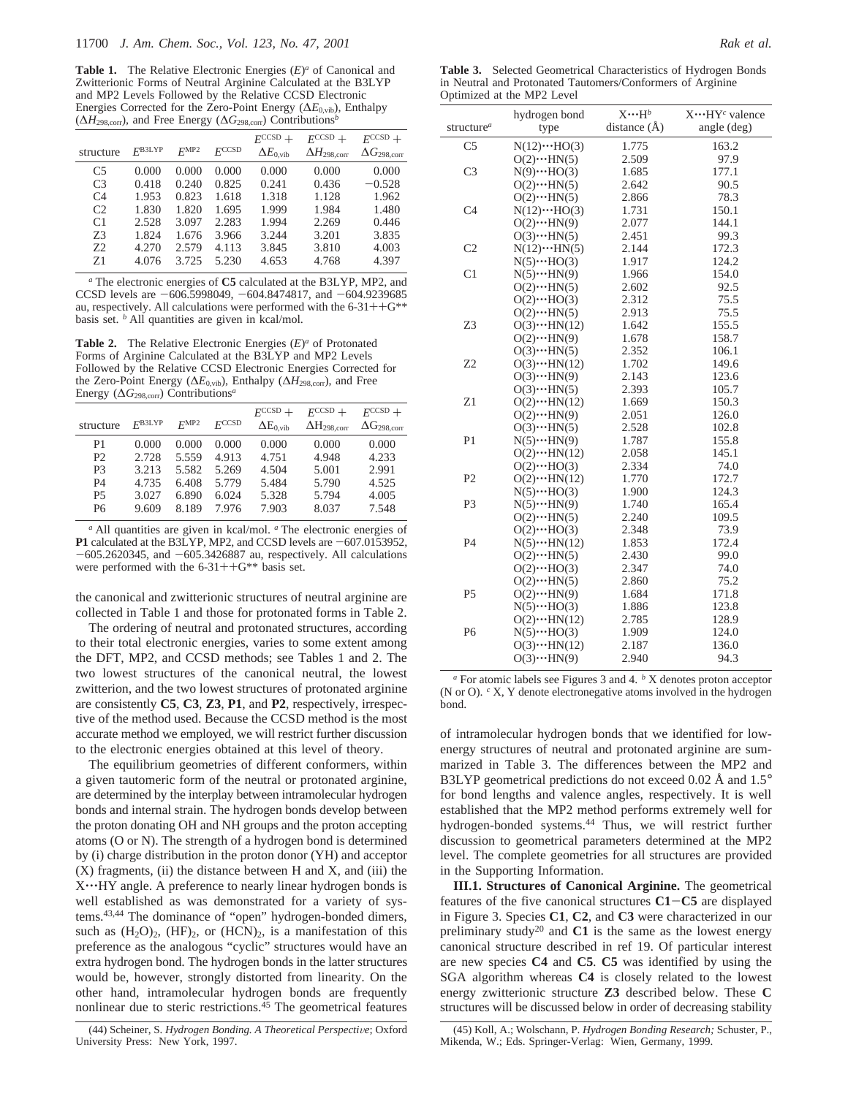**Table 1.** The Relative Electronic Energies (*E*)*<sup>a</sup>* of Canonical and Zwitterionic Forms of Neutral Arginine Calculated at the B3LYP and MP2 Levels Followed by the Relative CCSD Electronic Energies Corrected for the Zero-Point Energy (∆*E*0,vib), Enthalpy (∆*H*298,corr), and Free Energy (∆*G*298,corr) Contributions*<sup>b</sup>*

|                |                    |                  |            | $F^{\text{CCSD}}$ +       | $F^{CCSD}$                | $F^{\text{CCSD}}$ +            |
|----------------|--------------------|------------------|------------|---------------------------|---------------------------|--------------------------------|
| structure      | $F^{\text{BJLYP}}$ | F <sub>MP2</sub> | $F^{CCSD}$ | $\Delta E_{0.\text{vib}}$ | $\Delta H_{\rm 298,corr}$ | $\Delta G_{298,\mathrm{corr}}$ |
| C <sub>5</sub> | 0.000              | 0.000            | 0.000      | 0.000                     | 0.000                     | 0.000                          |
| C <sub>3</sub> | 0.418              | 0.240            | 0.825      | 0.241                     | 0.436                     | $-0.528$                       |
| C <sub>4</sub> | 1.953              | 0.823            | 1.618      | 1.318                     | 1.128                     | 1.962                          |
| C2             | 1.830              | 1.820            | 1.695      | 1.999                     | 1.984                     | 1.480                          |
| C <sub>1</sub> | 2.528              | 3.097            | 2.283      | 1.994                     | 2.269                     | 0.446                          |
| 73             | 1.824              | 1.676            | 3.966      | 3.244                     | 3.201                     | 3.835                          |
| 72             | 4.270              | 2.579            | 4.113      | 3.845                     | 3.810                     | 4.003                          |
| Z <sub>1</sub> | 4.076              | 3.725            | 5.230      | 4.653                     | 4.768                     | 4.397                          |

*<sup>a</sup>* The electronic energies of **C5** calculated at the B3LYP, MP2, and CCSD levels are  $-606.5998049, -604.8474817,$  and  $-604.9239685$ au, respectively. All calculations were performed with the  $6-31++G^{**}$ basis set. *<sup>b</sup>* All quantities are given in kcal/mol.

**Table 2.** The Relative Electronic Energies (*E*)*<sup>a</sup>* of Protonated Forms of Arginine Calculated at the B3LYP and MP2 Levels Followed by the Relative CCSD Electronic Energies Corrected for the Zero-Point Energy (∆*E*0,vib), Enthalpy (∆*H*298,corr), and Free Energy (∆*G*298,corr) Contributions*<sup>a</sup>*

| structure      | F <sub>B3LYP</sub> | FMP2  | FCCSD | $FCCSD +$<br>$\Delta E_{0,}$ <sub>vib</sub> | $FCCSD +$<br>$\Delta H_{298,\mathrm{corr}}$ | $FCCSD +$<br>$\Delta G_{298,\mathrm{corr}}$ |
|----------------|--------------------|-------|-------|---------------------------------------------|---------------------------------------------|---------------------------------------------|
| P1             | 0.000              | 0.000 | 0.000 | 0.000                                       | 0.000                                       | 0.000                                       |
| P <sub>2</sub> | 2.728              | 5.559 | 4.913 | 4.751                                       | 4.948                                       | 4.233                                       |
| P <sub>3</sub> | 3.213              | 5.582 | 5.269 | 4.504                                       | 5.001                                       | 2.991                                       |
| P4             | 4.735              | 6.408 | 5.779 | 5.484                                       | 5.790                                       | 4.525                                       |
| <b>P5</b>      | 3.027              | 6.890 | 6.024 | 5.328                                       | 5.794                                       | 4.005                                       |
| P6             | 9.609              | 8.189 | 7.976 | 7.903                                       | 8.037                                       | 7.548                                       |
|                |                    |       |       |                                             |                                             |                                             |

*<sup>a</sup>* All quantities are given in kcal/mol. *<sup>a</sup>* The electronic energies of **P1** calculated at the B3LYP, MP2, and CCSD levels are  $-607.0153952$ ,  $-605.2620345$ , and  $-605.3426887$  au, respectively. All calculations were performed with the  $6-31++G**$  basis set.

the canonical and zwitterionic structures of neutral arginine are collected in Table 1 and those for protonated forms in Table 2.

The ordering of neutral and protonated structures, according to their total electronic energies, varies to some extent among the DFT, MP2, and CCSD methods; see Tables 1 and 2. The two lowest structures of the canonical neutral, the lowest zwitterion, and the two lowest structures of protonated arginine are consistently **C5**, **C3**, **Z3**, **P1**, and **P2**, respectively, irrespective of the method used. Because the CCSD method is the most accurate method we employed, we will restrict further discussion to the electronic energies obtained at this level of theory.

The equilibrium geometries of different conformers, within a given tautomeric form of the neutral or protonated arginine, are determined by the interplay between intramolecular hydrogen bonds and internal strain. The hydrogen bonds develop between the proton donating OH and NH groups and the proton accepting atoms (O or N). The strength of a hydrogen bond is determined by (i) charge distribution in the proton donor (YH) and acceptor  $(X)$  fragments,  $(ii)$  the distance between H and X, and  $(iii)$  the X ··· HY angle. A preference to nearly linear hydrogen bonds is well established as was demonstrated for a variety of systems.43,44 The dominance of "open" hydrogen-bonded dimers, such as  $(H_2O)_2$ ,  $(HF)_2$ , or  $(HCN)_2$ , is a manifestation of this preference as the analogous "cyclic" structures would have an extra hydrogen bond. The hydrogen bonds in the latter structures would be, however, strongly distorted from linearity. On the other hand, intramolecular hydrogen bonds are frequently nonlinear due to steric restrictions.45 The geometrical features

**Table 3.** Selected Geometrical Characteristics of Hydrogen Bonds in Neutral and Protonated Tautomers/Conformers of Arginine Optimized at the MP2 Level

|                        | hydrogen bond                   | $X \cdots H^b$   | $X \cdots HY^c$ valence |
|------------------------|---------------------------------|------------------|-------------------------|
| structure <sup>a</sup> | type                            | distance $(\AA)$ | angle (deg)             |
| C <sub>5</sub>         | $N(12)\cdots HO(3)$             | 1.775            | 163.2                   |
|                        | $O(2) \cdot \cdot \cdot HN(5)$  | 2.509            | 97.9                    |
| C <sub>3</sub>         | $N(9)\cdots HO(3)$              | 1.685            | 177.1                   |
|                        | $O(2) \cdot \cdot \cdot$ HN(5)  | 2.642            | 90.5                    |
|                        | $O(2) \cdot \cdot \cdot HN(5)$  | 2.866            | 78.3                    |
| C <sub>4</sub>         | $N(12)\cdots HO(3)$             | 1.731            | 150.1                   |
|                        | $O(2) \cdot \cdot \cdot HN(9)$  | 2.077            | 144.1                   |
|                        | $O(3) \cdot \cdot \cdot HN(5)$  | 2.451            | 99.3                    |
| C <sub>2</sub>         | $N(12)\cdots HN(5)$             | 2.144            | 172.3                   |
|                        | $N(5)\cdots HO(3)$              | 1.917            | 124.2                   |
| C1                     | $N(5)\cdots HN(9)$              | 1.966            | 154.0                   |
|                        | $O(2) \cdot \cdot \cdot HN(5)$  | 2.602            | 92.5                    |
|                        | $O(2) \cdot \cdot \cdot HO(3)$  | 2.312            | 75.5                    |
|                        | $O(2) \cdot \cdot \cdot HN(5)$  | 2.913            | 75.5                    |
| Z3                     | $O(3) \cdot \cdot \cdot$ HN(12) | 1.642            | 155.5                   |
|                        | $O(2) \cdot \cdot \cdot HN(9)$  | 1.678            | 158.7                   |
|                        | $O(3) \cdot \cdot \cdot HN(5)$  | 2.352            | 106.1                   |
| Z2                     | $O(3) \cdot \cdot \cdot$ HN(12) | 1.702            | 149.6                   |
|                        | $O(3) \cdot \cdot \cdot HN(9)$  | 2.143            | 123.6                   |
|                        | $O(3) \cdot \cdot \cdot HN(5)$  | 2.393            | 105.7                   |
| Z1                     | $O(2) \cdot \cdot \cdot$ HN(12) | 1.669            | 150.3                   |
|                        | $O(2) \cdot \cdot \cdot HN(9)$  | 2.051            | 126.0                   |
|                        | $O(3) \cdot \cdot \cdot HN(5)$  | 2.528            | 102.8                   |
| P1                     | $N(5)\cdots HN(9)$              | 1.787            | 155.8                   |
|                        | $O(2) \cdot \cdot \cdot$ HN(12) | 2.058            | 145.1                   |
|                        | $O(2) \cdot \cdot \cdot HO(3)$  | 2.334            | 74.0                    |
| P <sub>2</sub>         | $O(2) \cdot \cdot \cdot$ HN(12) | 1.770            | 172.7                   |
|                        | $N(5)\cdots HO(3)$              | 1.900            | 124.3                   |
| P <sub>3</sub>         | $N(5)\cdots HN(9)$              | 1.740            | 165.4                   |
|                        | $O(2) \cdot \cdot \cdot HN(5)$  | 2.240            | 109.5                   |
|                        | $O(2) \cdot \cdot \cdot HO(3)$  | 2.348            | 73.9                    |
| P <sub>4</sub>         | $N(5)\cdots HN(12)$             | 1.853            | 172.4                   |
|                        | $O(2) \cdot \cdot \cdot$ HN(5)  | 2.430            | 99.0                    |
|                        | $O(2) \cdot \cdot \cdot HO(3)$  | 2.347            | 74.0                    |
|                        | $O(2) \cdot \cdot \cdot HN(5)$  | 2.860            | 75.2                    |
| P <sub>5</sub>         | $O(2) \cdot \cdot \cdot HN(9)$  | 1.684            | 171.8                   |
|                        | $N(5)\cdots HO(3)$              | 1.886            | 123.8                   |
|                        | $O(2) \cdot \cdot \cdot$ HN(12) | 2.785            | 128.9                   |
| P6                     | $N(5)\cdots HO(3)$              | 1.909            | 124.0                   |
|                        | $O(3) \cdot \cdot \cdot$ HN(12) | 2.187            | 136.0                   |
|                        | $O(3) \cdot \cdot \cdot HN(9)$  | 2.940            | 94.3                    |

*<sup>a</sup>* For atomic labels see Figures 3 and 4. *<sup>b</sup>* X denotes proton acceptor (N or O). *<sup>c</sup>* X, Y denote electronegative atoms involved in the hydrogen bond.

of intramolecular hydrogen bonds that we identified for lowenergy structures of neutral and protonated arginine are summarized in Table 3. The differences between the MP2 and B3LYP geometrical predictions do not exceed 0.02 Å and 1.5° for bond lengths and valence angles, respectively. It is well established that the MP2 method performs extremely well for hydrogen-bonded systems.44 Thus, we will restrict further discussion to geometrical parameters determined at the MP2 level. The complete geometries for all structures are provided in the Supporting Information.

**III.1. Structures of Canonical Arginine.** The geometrical features of the five canonical structures **C1**-**C5** are displayed in Figure 3. Species **C1**, **C2**, and **C3** were characterized in our preliminary study<sup>20</sup> and  $C1$  is the same as the lowest energy canonical structure described in ref 19. Of particular interest are new species **C4** and **C5**. **C5** was identified by using the SGA algorithm whereas **C4** is closely related to the lowest energy zwitterionic structure **Z3** described below. These **C** structures will be discussed below in order of decreasing stability

<sup>(44)</sup> Scheiner, S. *Hydrogen Bonding*. A Theoretical Perspective; Oxford University Press: New York, 1997.

<sup>(45)</sup> Koll, A.; Wolschann, P. *Hydrogen Bonding Research;* Schuster, P., Mikenda, W.; Eds. Springer-Verlag: Wien, Germany, 1999.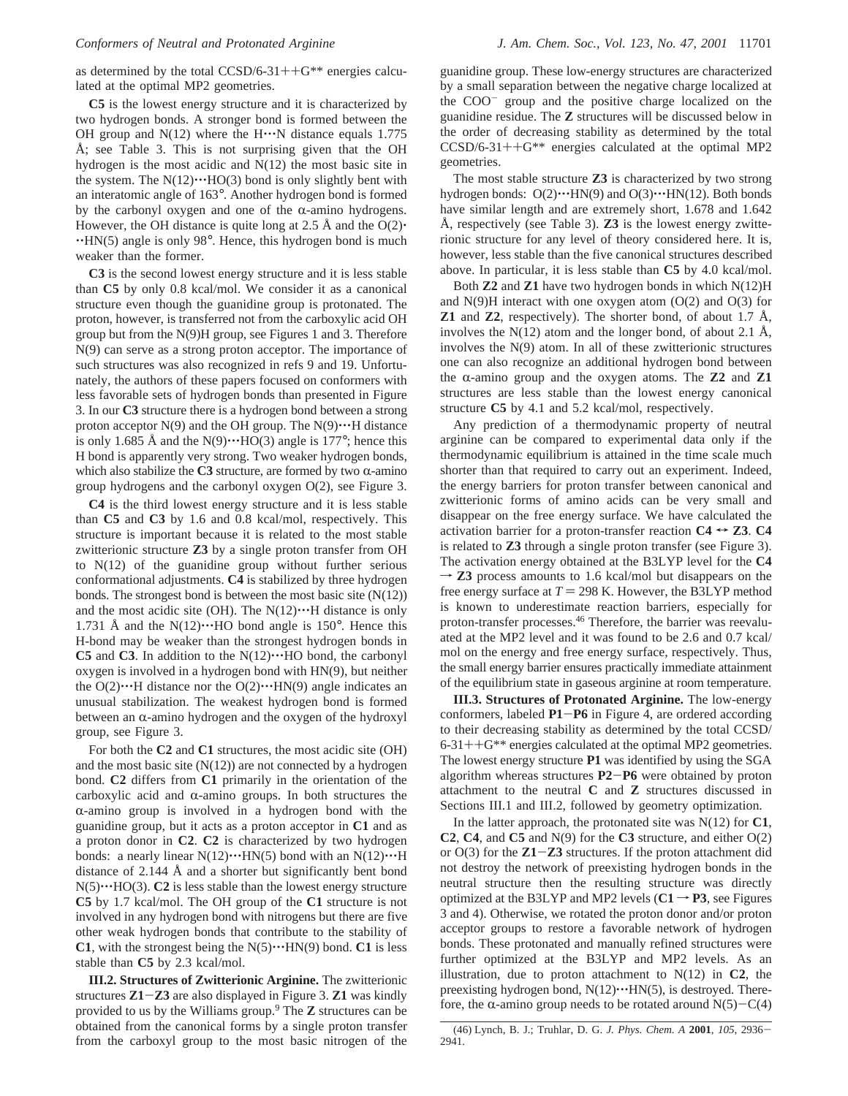as determined by the total CCSD/6-31++ $G^{**}$  energies calculated at the optimal MP2 geometries.

**C5** is the lowest energy structure and it is characterized by two hydrogen bonds. A stronger bond is formed between the OH group and  $N(12)$  where the H $\cdots$ N distance equals 1.775 Å; see Table 3. This is not surprising given that the OH hydrogen is the most acidic and N(12) the most basic site in the system. The  $N(12)\cdots HO(3)$  bond is only slightly bent with an interatomic angle of 163°. Another hydrogen bond is formed by the carbonyl oxygen and one of the  $\alpha$ -amino hydrogens. However, the OH distance is quite long at 2.5 Å and the  $O(2)$ .  $\cdot$ HN(5) angle is only 98 $\circ$ . Hence, this hydrogen bond is much weaker than the former.

**C3** is the second lowest energy structure and it is less stable than **C5** by only 0.8 kcal/mol. We consider it as a canonical structure even though the guanidine group is protonated. The proton, however, is transferred not from the carboxylic acid OH group but from the N(9)H group, see Figures 1 and 3. Therefore N(9) can serve as a strong proton acceptor. The importance of such structures was also recognized in refs 9 and 19. Unfortunately, the authors of these papers focused on conformers with less favorable sets of hydrogen bonds than presented in Figure 3. In our **C3** structure there is a hydrogen bond between a strong proton acceptor  $N(9)$  and the OH group. The  $N(9)\cdots$ H distance is only 1.685 Å and the  $N(9) \cdot \cdot \cdot HO(3)$  angle is 177°; hence this H bond is apparently very strong. Two weaker hydrogen bonds, which also stabilize the  $C3$  structure, are formed by two  $\alpha$ -amino group hydrogens and the carbonyl oxygen O(2), see Figure 3.

**C4** is the third lowest energy structure and it is less stable than **C5** and **C3** by 1.6 and 0.8 kcal/mol, respectively. This structure is important because it is related to the most stable zwitterionic structure **Z3** by a single proton transfer from OH to N(12) of the guanidine group without further serious conformational adjustments. **C4** is stabilized by three hydrogen bonds. The strongest bond is between the most basic site  $(N(12))$ and the most acidic site (OH). The  $N(12)\cdots H$  distance is only 1.731 Å and the  $N(12) \cdot \cdot \cdot$  HO bond angle is 150°. Hence this H-bond may be weaker than the strongest hydrogen bonds in **C5** and **C3**. In addition to the  $N(12)\cdots HO$  bond, the carbonyl oxygen is involved in a hydrogen bond with HN(9), but neither the  $O(2) \cdot \cdot \cdot H$  distance nor the  $O(2) \cdot \cdot \cdot HN(9)$  angle indicates an unusual stabilization. The weakest hydrogen bond is formed between an  $\alpha$ -amino hydrogen and the oxygen of the hydroxyl group, see Figure 3.

For both the **C2** and **C1** structures, the most acidic site (OH) and the most basic site  $(N(12))$  are not connected by a hydrogen bond. **C2** differs from **C1** primarily in the orientation of the carboxylic acid and  $\alpha$ -amino groups. In both structures the  $\alpha$ -amino group is involved in a hydrogen bond with the guanidine group, but it acts as a proton acceptor in **C1** and as a proton donor in **C2**. **C2** is characterized by two hydrogen bonds: a nearly linear  $N(12)\cdots HN(5)$  bond with an  $N(12)\cdots H$ distance of 2.144 Å and a shorter but significantly bent bond  $N(5) \cdot \cdot \cdot HO(3)$ . **C2** is less stable than the lowest energy structure **C5** by 1.7 kcal/mol. The OH group of the **C1** structure is not involved in any hydrogen bond with nitrogens but there are five other weak hydrogen bonds that contribute to the stability of **C1**, with the strongest being the  $N(5) \cdots HN(9)$  bond. **C1** is less stable than **C5** by 2.3 kcal/mol.

**III.2. Structures of Zwitterionic Arginine.** The zwitterionic structures **Z1**-**Z3** are also displayed in Figure 3. **Z1** was kindly provided to us by the Williams group.9 The **Z** structures can be obtained from the canonical forms by a single proton transfer from the carboxyl group to the most basic nitrogen of the

guanidine group. These low-energy structures are characterized by a small separation between the negative charge localized at the  $COO<sup>-</sup>$  group and the positive charge localized on the guanidine residue. The **Z** structures will be discussed below in the order of decreasing stability as determined by the total  $CCSD/6-31++G^{**}$  energies calculated at the optimal MP2 geometries.

The most stable structure **Z3** is characterized by two strong hydrogen bonds:  $O(2) \cdot \cdot \cdot HN(9)$  and  $O(3) \cdot \cdot \cdot HN(12)$ . Both bonds have similar length and are extremely short, 1.678 and 1.642 Å, respectively (see Table 3). **Z3** is the lowest energy zwitterionic structure for any level of theory considered here. It is, however, less stable than the five canonical structures described above. In particular, it is less stable than **C5** by 4.0 kcal/mol.

Both **Z2** and **Z1** have two hydrogen bonds in which N(12)H and  $N(9)$ H interact with one oxygen atom  $(O(2)$  and  $O(3)$  for **Z1** and **Z2**, respectively). The shorter bond, of about 1.7 Å, involves the  $N(12)$  atom and the longer bond, of about 2.1 Å, involves the N(9) atom. In all of these zwitterionic structures one can also recognize an additional hydrogen bond between the  $\alpha$ -amino group and the oxygen atoms. The **Z2** and **Z1** structures are less stable than the lowest energy canonical structure **C5** by 4.1 and 5.2 kcal/mol, respectively.

Any prediction of a thermodynamic property of neutral arginine can be compared to experimental data only if the thermodynamic equilibrium is attained in the time scale much shorter than that required to carry out an experiment. Indeed, the energy barriers for proton transfer between canonical and zwitterionic forms of amino acids can be very small and disappear on the free energy surface. We have calculated the activation barrier for a proton-transfer reaction  $C4 \rightarrow Z3$ .  $C4$ is related to **Z3** through a single proton transfer (see Figure 3). The activation energy obtained at the B3LYP level for the **C4**  $\rightarrow$  **Z3** process amounts to 1.6 kcal/mol but disappears on the free energy surface at  $T = 298$  K. However, the B3LYP method is known to underestimate reaction barriers, especially for proton-transfer processes.46 Therefore, the barrier was reevaluated at the MP2 level and it was found to be 2.6 and 0.7 kcal/ mol on the energy and free energy surface, respectively. Thus, the small energy barrier ensures practically immediate attainment of the equilibrium state in gaseous arginine at room temperature.

**III.3. Structures of Protonated Arginine.** The low-energy conformers, labeled **P1**-**P6** in Figure 4, are ordered according to their decreasing stability as determined by the total CCSD/  $6-31++G$ <sup>\*\*</sup> energies calculated at the optimal MP2 geometries. The lowest energy structure **P1** was identified by using the SGA algorithm whereas structures **P2**-**P6** were obtained by proton attachment to the neutral **C** and **Z** structures discussed in Sections III.1 and III.2, followed by geometry optimization.

In the latter approach, the protonated site was N(12) for **C1**, **C2**, **C4**, and **C5** and N(9) for the **C3** structure, and either O(2) or O(3) for the **Z1**-**Z3** structures. If the proton attachment did not destroy the network of preexisting hydrogen bonds in the neutral structure then the resulting structure was directly optimized at the B3LYP and MP2 levels  $(C1 \rightarrow P3)$ , see Figures 3 and 4). Otherwise, we rotated the proton donor and/or proton acceptor groups to restore a favorable network of hydrogen bonds. These protonated and manually refined structures were further optimized at the B3LYP and MP2 levels. As an illustration, due to proton attachment to N(12) in **C2**, the preexisting hydrogen bond,  $N(12)\cdots HN(5)$ , is destroyed. Therefore, the  $\alpha$ -amino group needs to be rotated around N(5)-C(4)

<sup>(46)</sup> Lynch, B. J.; Truhlar, D. G. *J. Phys. Chem. A* **<sup>2001</sup>**, *<sup>105</sup>*, 2936- 2941.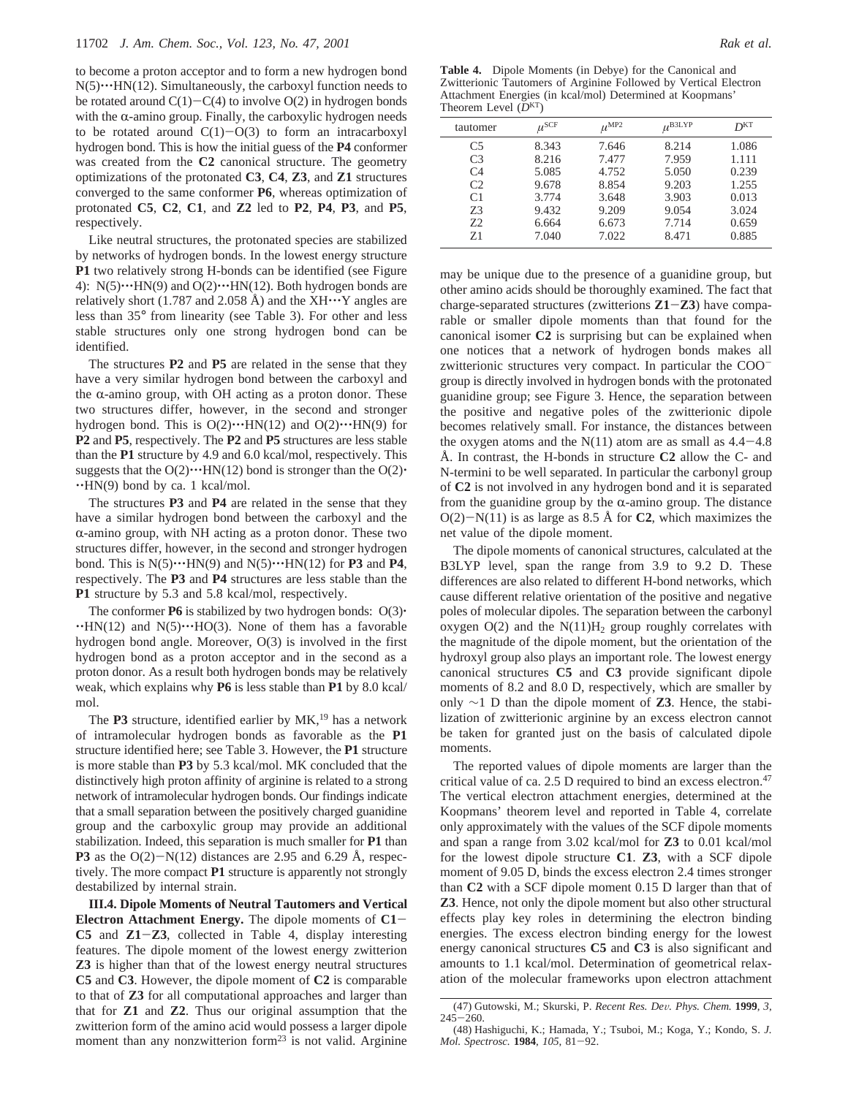to become a proton acceptor and to form a new hydrogen bond  $N(5) \cdot \cdot \cdot$ HN(12). Simultaneously, the carboxyl function needs to be rotated around  $C(1)-C(4)$  to involve  $O(2)$  in hydrogen bonds with the  $\alpha$ -amino group. Finally, the carboxylic hydrogen needs to be rotated around  $C(1)-O(3)$  to form an intracarboxyl hydrogen bond. This is how the initial guess of the **P4** conformer was created from the **C2** canonical structure. The geometry optimizations of the protonated **C3**, **C4**, **Z3**, and **Z1** structures converged to the same conformer **P6**, whereas optimization of protonated **C5**, **C2**, **C1**, and **Z2** led to **P2**, **P4**, **P3**, and **P5**, respectively.

Like neutral structures, the protonated species are stabilized by networks of hydrogen bonds. In the lowest energy structure **P1** two relatively strong H-bonds can be identified (see Figure 4):  $N(5) \cdot \cdot \cdot \cdot \cdot H(N(9))$  and  $O(2) \cdot \cdot \cdot \cdot H(N(12))$ . Both hydrogen bonds are relatively short (1.787 and 2.058 Å) and the  $XH\cdots Y$  angles are less than 35° from linearity (see Table 3). For other and less stable structures only one strong hydrogen bond can be identified.

The structures **P2** and **P5** are related in the sense that they have a very similar hydrogen bond between the carboxyl and the  $\alpha$ -amino group, with OH acting as a proton donor. These two structures differ, however, in the second and stronger hydrogen bond. This is  $O(2) \cdot \cdot \cdot$ HN(12) and  $O(2) \cdot \cdot \cdot$ HN(9) for **P2** and **P5**, respectively. The **P2** and **P5** structures are less stable than the **P1** structure by 4.9 and 6.0 kcal/mol, respectively. This suggests that the  $O(2) \cdot \cdot \cdot HN(12)$  bond is stronger than the  $O(2) \cdot$  $\cdot$ HN(9) bond by ca. 1 kcal/mol.

The structures **P3** and **P4** are related in the sense that they have a similar hydrogen bond between the carboxyl and the  $\alpha$ -amino group, with NH acting as a proton donor. These two structures differ, however, in the second and stronger hydrogen bond. This is  $N(5) \cdots HN(9)$  and  $N(5) \cdots HN(12)$  for **P3** and **P4**, respectively. The **P3** and **P4** structures are less stable than the **P1** structure by 5.3 and 5.8 kcal/mol, respectively.

The conformer **P6** is stabilized by two hydrogen bonds:  $O(3)$ <sup>\*</sup>  $\cdot$ HN(12) and N(5) $\cdot$  $\cdot$ HO(3). None of them has a favorable hydrogen bond angle. Moreover, O(3) is involved in the first hydrogen bond as a proton acceptor and in the second as a proton donor. As a result both hydrogen bonds may be relatively weak, which explains why **P6** is less stable than **P1** by 8.0 kcal/ mol.

The P3 structure, identified earlier by MK,<sup>19</sup> has a network of intramolecular hydrogen bonds as favorable as the **P1** structure identified here; see Table 3. However, the **P1** structure is more stable than **P3** by 5.3 kcal/mol. MK concluded that the distinctively high proton affinity of arginine is related to a strong network of intramolecular hydrogen bonds. Our findings indicate that a small separation between the positively charged guanidine group and the carboxylic group may provide an additional stabilization. Indeed, this separation is much smaller for **P1** than **P3** as the  $O(2) - N(12)$  distances are 2.95 and 6.29 Å, respectively. The more compact **P1** structure is apparently not strongly destabilized by internal strain.

**III.4. Dipole Moments of Neutral Tautomers and Vertical Electron Attachment Energy.** The dipole moments of **C1**- **C5** and **Z1**-**Z3**, collected in Table 4, display interesting features. The dipole moment of the lowest energy zwitterion **Z3** is higher than that of the lowest energy neutral structures **C5** and **C3**. However, the dipole moment of **C2** is comparable to that of **Z3** for all computational approaches and larger than that for **Z1** and **Z2**. Thus our original assumption that the zwitterion form of the amino acid would possess a larger dipole moment than any nonzwitterion form<sup>23</sup> is not valid. Arginine

**Table 4.** Dipole Moments (in Debye) for the Canonical and Zwitterionic Tautomers of Arginine Followed by Vertical Electron Attachment Energies (in kcal/mol) Determined at Koopmans' Theorem Level (*D*KT)

| tautomer       | $\mu^{\rm SCF}$ | $\mu^{\text{MP2}}$ | $\mu^{\rm B3LYP}$ | D <sub>KL</sub> |
|----------------|-----------------|--------------------|-------------------|-----------------|
| C <sub>5</sub> | 8.343           | 7.646              | 8.214             | 1.086           |
| C <sub>3</sub> | 8.216           | 7.477              | 7.959             | 1.111           |
| C <sub>4</sub> | 5.085           | 4.752              | 5.050             | 0.239           |
| C <sub>2</sub> | 9.678           | 8.854              | 9.203             | 1.255           |
| C <sub>1</sub> | 3.774           | 3.648              | 3.903             | 0.013           |
| 73             | 9.432           | 9.209              | 9.054             | 3.024           |
| 72             | 6.664           | 6.673              | 7.714             | 0.659           |
| $Z_1$          | 7.040           | 7.022              | 8.471             | 0.885           |
|                |                 |                    |                   |                 |

may be unique due to the presence of a guanidine group, but other amino acids should be thoroughly examined. The fact that charge-separated structures (zwitterions **Z1**-**Z3**) have comparable or smaller dipole moments than that found for the canonical isomer **C2** is surprising but can be explained when one notices that a network of hydrogen bonds makes all zwitterionic structures very compact. In particular the COOgroup is directly involved in hydrogen bonds with the protonated guanidine group; see Figure 3. Hence, the separation between the positive and negative poles of the zwitterionic dipole becomes relatively small. For instance, the distances between the oxygen atoms and the  $N(11)$  atom are as small as  $4.4-4.8$ Å. In contrast, the H-bonds in structure **C2** allow the C- and N-termini to be well separated. In particular the carbonyl group of **C2** is not involved in any hydrogen bond and it is separated from the guanidine group by the  $\alpha$ -amino group. The distance  $O(2)-N(11)$  is as large as 8.5 Å for **C2**, which maximizes the net value of the dipole moment.

The dipole moments of canonical structures, calculated at the B3LYP level, span the range from 3.9 to 9.2 D. These differences are also related to different H-bond networks, which cause different relative orientation of the positive and negative poles of molecular dipoles. The separation between the carbonyl oxygen  $O(2)$  and the  $N(11)H_2$  group roughly correlates with the magnitude of the dipole moment, but the orientation of the hydroxyl group also plays an important role. The lowest energy canonical structures **C5** and **C3** provide significant dipole moments of 8.2 and 8.0 D, respectively, which are smaller by only ∼1 D than the dipole moment of **Z3**. Hence, the stabilization of zwitterionic arginine by an excess electron cannot be taken for granted just on the basis of calculated dipole moments.

The reported values of dipole moments are larger than the critical value of ca. 2.5 D required to bind an excess electron.<sup>47</sup> The vertical electron attachment energies, determined at the Koopmans' theorem level and reported in Table 4, correlate only approximately with the values of the SCF dipole moments and span a range from 3.02 kcal/mol for **Z3** to 0.01 kcal/mol for the lowest dipole structure **C1**. **Z3**, with a SCF dipole moment of 9.05 D, binds the excess electron 2.4 times stronger than **C2** with a SCF dipole moment 0.15 D larger than that of **Z3**. Hence, not only the dipole moment but also other structural effects play key roles in determining the electron binding energies. The excess electron binding energy for the lowest energy canonical structures **C5** and **C3** is also significant and amounts to 1.1 kcal/mol. Determination of geometrical relaxation of the molecular frameworks upon electron attachment

<sup>(47)</sup> Gutowski, M.; Skurski, P. *Recent Res. De*V*. Phys. Chem.* **<sup>1999</sup>**, *<sup>3</sup>*, <sup>245</sup>-260.

<sup>(48)</sup> Hashiguchi, K.; Hamada, Y.; Tsuboi, M.; Koga, Y.; Kondo, S. *J. Mol. Spectrosc.* **<sup>1984</sup>**, *<sup>105</sup>*, 81-92.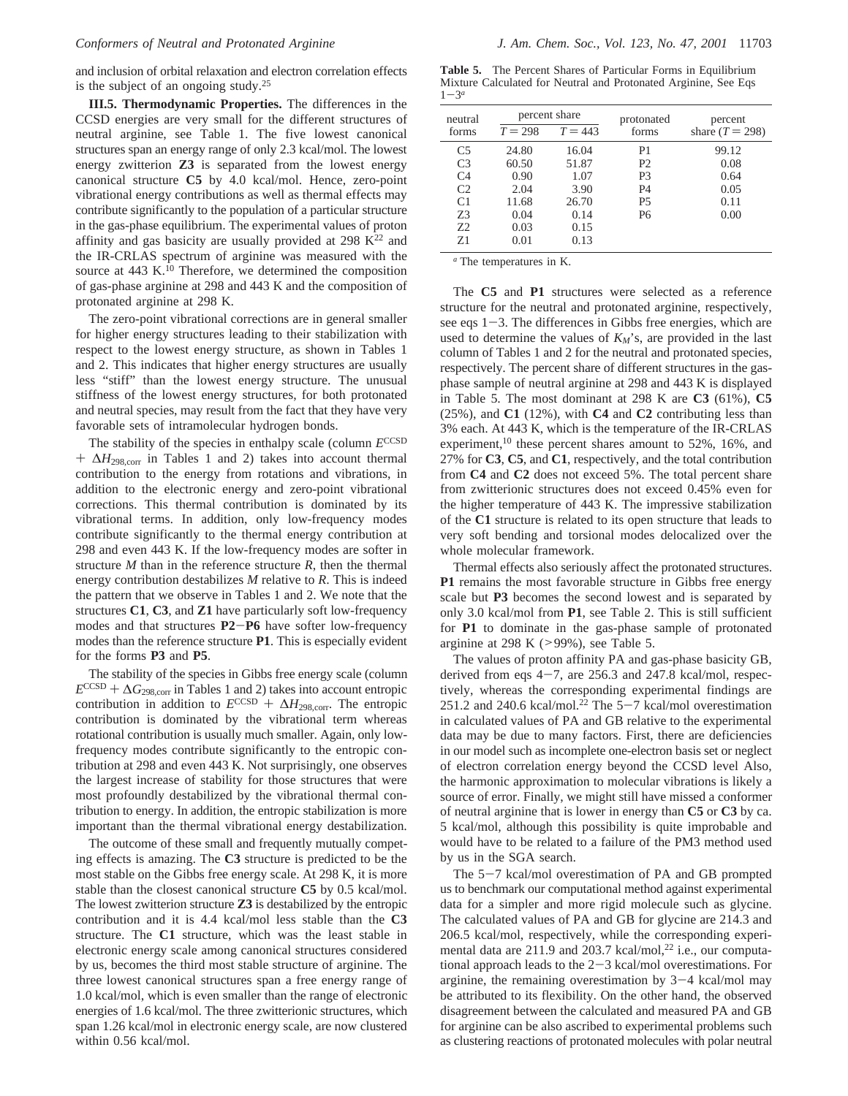and inclusion of orbital relaxation and electron correlation effects is the subject of an ongoing study.<sup>25</sup>

**III.5. Thermodynamic Properties.** The differences in the CCSD energies are very small for the different structures of neutral arginine, see Table 1. The five lowest canonical structures span an energy range of only 2.3 kcal/mol. The lowest energy zwitterion **Z3** is separated from the lowest energy canonical structure **C5** by 4.0 kcal/mol. Hence, zero-point vibrational energy contributions as well as thermal effects may contribute significantly to the population of a particular structure in the gas-phase equilibrium. The experimental values of proton affinity and gas basicity are usually provided at  $298 \text{ K}^{22}$  and the IR-CRLAS spectrum of arginine was measured with the source at 443 K.<sup>10</sup> Therefore, we determined the composition of gas-phase arginine at 298 and 443 K and the composition of protonated arginine at 298 K.

The zero-point vibrational corrections are in general smaller for higher energy structures leading to their stabilization with respect to the lowest energy structure, as shown in Tables 1 and 2. This indicates that higher energy structures are usually less "stiff" than the lowest energy structure. The unusual stiffness of the lowest energy structures, for both protonated and neutral species, may result from the fact that they have very favorable sets of intramolecular hydrogen bonds.

The stability of the species in enthalpy scale (column  $E^{\text{CCSD}}$ <sup>+</sup> <sup>∆</sup>*H*298,corr in Tables 1 and 2) takes into account thermal contribution to the energy from rotations and vibrations, in addition to the electronic energy and zero-point vibrational corrections. This thermal contribution is dominated by its vibrational terms. In addition, only low-frequency modes contribute significantly to the thermal energy contribution at 298 and even 443 K. If the low-frequency modes are softer in structure *M* than in the reference structure *R*, then the thermal energy contribution destabilizes *M* relative to *R*. This is indeed the pattern that we observe in Tables 1 and 2. We note that the structures **C1**, **C3**, and **Z1** have particularly soft low-frequency modes and that structures **P2**-**P6** have softer low-frequency modes than the reference structure **P1**. This is especially evident for the forms **P3** and **P5**.

The stability of the species in Gibbs free energy scale (column  $E^{\text{CCSD}} + \Delta G_{\text{298,corr}}$  in Tables 1 and 2) takes into account entropic contribution in addition to  $E^{CCSD} + \Delta H_{298,corr}$ . The entropic contribution is dominated by the vibrational term whereas rotational contribution is usually much smaller. Again, only lowfrequency modes contribute significantly to the entropic contribution at 298 and even 443 K. Not surprisingly, one observes the largest increase of stability for those structures that were most profoundly destabilized by the vibrational thermal contribution to energy. In addition, the entropic stabilization is more important than the thermal vibrational energy destabilization.

The outcome of these small and frequently mutually competing effects is amazing. The **C3** structure is predicted to be the most stable on the Gibbs free energy scale. At 298 K, it is more stable than the closest canonical structure **C5** by 0.5 kcal/mol. The lowest zwitterion structure **Z3** is destabilized by the entropic contribution and it is 4.4 kcal/mol less stable than the **C3** structure. The **C1** structure, which was the least stable in electronic energy scale among canonical structures considered by us, becomes the third most stable structure of arginine. The three lowest canonical structures span a free energy range of 1.0 kcal/mol, which is even smaller than the range of electronic energies of 1.6 kcal/mol. The three zwitterionic structures, which span 1.26 kcal/mol in electronic energy scale, are now clustered within 0.56 kcal/mol.

**Table 5.** The Percent Shares of Particular Forms in Equilibrium Mixture Calculated for Neutral and Protonated Arginine, See Eqs  $1 - 3^a$ 

| neutral        | percent share |           | protonated | percent           |  |
|----------------|---------------|-----------|------------|-------------------|--|
| forms          | $T = 298$     | $T = 443$ | forms      | share $(T = 298)$ |  |
| C <sub>5</sub> | 24.80         | 16.04     | P1         | 99.12             |  |
| C <sub>3</sub> | 60.50         | 51.87     | P2         | 0.08              |  |
| C <sub>4</sub> | 0.90          | 1.07      | P3         | 0.64              |  |
| C2             | 2.04          | 3.90      | P4         | 0.05              |  |
| C <sub>1</sub> | 11.68         | 26.70     | Р5         | 0.11              |  |
| 73             | 0.04          | 0.14      | Р6         | 0.00              |  |
| 72             | 0.03          | 0.15      |            |                   |  |
| 71             | 0.01          | 0.13      |            |                   |  |

*<sup>a</sup>* The temperatures in K.

The **C5** and **P1** structures were selected as a reference structure for the neutral and protonated arginine, respectively, see eqs  $1-3$ . The differences in Gibbs free energies, which are used to determine the values of  $K_M$ 's, are provided in the last column of Tables 1 and 2 for the neutral and protonated species, respectively. The percent share of different structures in the gasphase sample of neutral arginine at 298 and 443 K is displayed in Table 5. The most dominant at 298 K are **C3** (61%), **C5** (25%), and **C1** (12%), with **C4** and **C2** contributing less than 3% each. At 443 K, which is the temperature of the IR-CRLAS experiment,<sup>10</sup> these percent shares amount to 52%, 16%, and 27% for **C3**, **C5**, and **C1**, respectively, and the total contribution from **C4** and **C2** does not exceed 5%. The total percent share from zwitterionic structures does not exceed 0.45% even for the higher temperature of 443 K. The impressive stabilization of the **C1** structure is related to its open structure that leads to very soft bending and torsional modes delocalized over the whole molecular framework.

Thermal effects also seriously affect the protonated structures. **P1** remains the most favorable structure in Gibbs free energy scale but **P3** becomes the second lowest and is separated by only 3.0 kcal/mol from **P1**, see Table 2. This is still sufficient for **P1** to dominate in the gas-phase sample of protonated arginine at 298 K ( $>99\%$ ), see Table 5.

The values of proton affinity PA and gas-phase basicity GB, derived from eqs  $4-7$ , are 256.3 and 247.8 kcal/mol, respectively, whereas the corresponding experimental findings are 251.2 and 240.6 kcal/mol.<sup>22</sup> The  $5-7$  kcal/mol overestimation in calculated values of PA and GB relative to the experimental data may be due to many factors. First, there are deficiencies in our model such as incomplete one-electron basis set or neglect of electron correlation energy beyond the CCSD level Also, the harmonic approximation to molecular vibrations is likely a source of error. Finally, we might still have missed a conformer of neutral arginine that is lower in energy than **C5** or **C3** by ca. 5 kcal/mol, although this possibility is quite improbable and would have to be related to a failure of the PM3 method used by us in the SGA search.

The 5-7 kcal/mol overestimation of PA and GB prompted us to benchmark our computational method against experimental data for a simpler and more rigid molecule such as glycine. The calculated values of PA and GB for glycine are 214.3 and 206.5 kcal/mol, respectively, while the corresponding experimental data are 211.9 and 203.7 kcal/mol,<sup>22</sup> i.e., our computational approach leads to the 2-3 kcal/mol overestimations. For arginine, the remaining overestimation by 3-4 kcal/mol may be attributed to its flexibility. On the other hand, the observed disagreement between the calculated and measured PA and GB for arginine can be also ascribed to experimental problems such as clustering reactions of protonated molecules with polar neutral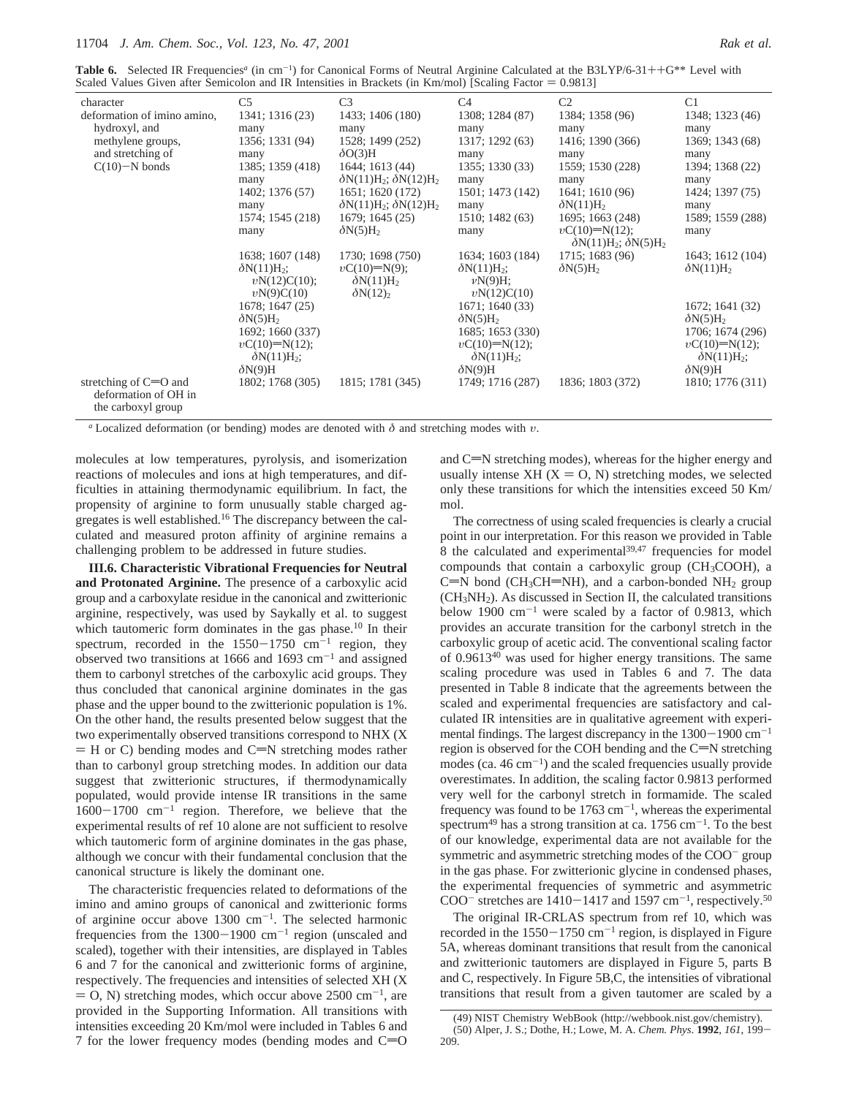**Table 6.** Selected IR Frequencies<sup>*a*</sup> (in cm<sup>-1</sup>) for Canonical Forms of Neutral Arginine Calculated at the B3LYP/6-31++G<sup>\*\*</sup> Level with Scaled Values Given after Semicolon and IR Intensities in Brackets (in Km/mol) [Sca Scaled Values Given after Semicolon and IR Intensities in Brackets (in Km/mol) [Scaling Factor  $= 0.9813$ ]

| character                                                             | C <sub>5</sub>                                           | C <sub>3</sub>                                          | C <sub>4</sub>                                           | C <sub>2</sub>                                          | C <sub>1</sub>                                           |
|-----------------------------------------------------------------------|----------------------------------------------------------|---------------------------------------------------------|----------------------------------------------------------|---------------------------------------------------------|----------------------------------------------------------|
| deformation of imino amino,                                           | 1341; 1316 (23)                                          | 1433; 1406 (180)                                        | 1308; 1284 (87)                                          | 1384; 1358 (96)                                         | 1348; 1323 (46)                                          |
| hydroxyl, and                                                         | many                                                     | many                                                    | many                                                     | many                                                    | many                                                     |
| methylene groups,                                                     | 1356; 1331 (94)                                          | 1528; 1499 (252)                                        | 1317; 1292 (63)                                          | 1416; 1390 (366)                                        | 1369; 1343 (68)                                          |
| and stretching of                                                     | many                                                     | $\delta O(3)H$                                          | many                                                     | many                                                    | many                                                     |
| $C(10)-N$ bonds                                                       | 1385; 1359 (418)                                         | 1644; 1613 (44)                                         | 1355; 1330 (33)                                          | 1559; 1530 (228)                                        | 1394; 1368 (22)                                          |
|                                                                       | many                                                     | $\delta N(11)H_2$ ; $\delta N(12)H_2$                   | many                                                     | many                                                    | many                                                     |
|                                                                       | 1402; 1376 (57)                                          | 1651; 1620 (172)                                        | 1501; 1473 (142)                                         | 1641; 1610 (96)                                         | 1424; 1397 (75)                                          |
|                                                                       | many                                                     | $\delta N(11)H_2$ ; $\delta N(12)H_2$                   | many                                                     | $\delta N(11)H_2$                                       | many                                                     |
|                                                                       | 1574; 1545 (218)                                         | 1679; 1645 (25)                                         | 1510; 1482 (63)                                          | 1695; 1663 (248)                                        | 1589; 1559 (288)                                         |
|                                                                       | many                                                     | $\delta N(5)H_2$                                        | many                                                     | $vC(10)=N(12);$<br>$\delta N(11)H_2$ ; $\delta N(5)H_2$ | many                                                     |
|                                                                       | 1638; 1607 (148)                                         | 1730; 1698 (750)                                        | 1634; 1603 (184)                                         | 1715; 1683 (96)                                         | 1643; 1612 (104)                                         |
|                                                                       | $\delta N(11)H_2$ ;<br>vN(12)C(10);<br>vN(9)C(10)        | $vC(10)=N(9);$<br>$\delta N(11)H_2$<br>$\delta N(12)_2$ | $\delta N(11)H_2$ ;<br>$\nu N(9)H;$<br>vN(12)C(10)       | $\delta N(5)H_2$                                        | $\delta N(11)H_2$                                        |
|                                                                       | 1678; 1647 (25)<br>$\delta N(5)H_2$                      |                                                         | 1671; 1640 (33)<br>$\delta N(5)H_2$                      |                                                         | 1672; 1641 (32)<br>$\delta N(5)H_2$                      |
|                                                                       | 1692; 1660 (337)                                         |                                                         | 1685; 1653 (330)                                         |                                                         | 1706; 1674 (296)                                         |
|                                                                       | $vC(10)=N(12);$<br>$\delta N(11)H_2$ ;<br>$\delta N(9)H$ |                                                         | $vC(10)=N(12);$<br>$\delta N(11)H_2$ ;<br>$\delta N(9)H$ |                                                         | $vC(10)=N(12);$<br>$\delta N(11)H_2$ ;<br>$\delta N(9)H$ |
| stretching of $C=O$ and<br>deformation of OH in<br>the carboxyl group | 1802; 1768 (305)                                         | 1815; 1781 (345)                                        | 1749; 1716 (287)                                         | 1836; 1803 (372)                                        | 1810; 1776 (311)                                         |

*<sup>a</sup>* Localized deformation (or bending) modes are denoted with *δ* and stretching modes with *υ*.

molecules at low temperatures, pyrolysis, and isomerization reactions of molecules and ions at high temperatures, and difficulties in attaining thermodynamic equilibrium. In fact, the propensity of arginine to form unusually stable charged aggregates is well established.16 The discrepancy between the calculated and measured proton affinity of arginine remains a challenging problem to be addressed in future studies.

**III.6. Characteristic Vibrational Frequencies for Neutral and Protonated Arginine.** The presence of a carboxylic acid group and a carboxylate residue in the canonical and zwitterionic arginine, respectively, was used by Saykally et al. to suggest which tautomeric form dominates in the gas phase.<sup>10</sup> In their spectrum, recorded in the  $1550-1750$  cm<sup>-1</sup> region, they observed two transitions at 1666 and 1693  $\text{cm}^{-1}$  and assigned them to carbonyl stretches of the carboxylic acid groups. They thus concluded that canonical arginine dominates in the gas phase and the upper bound to the zwitterionic population is 1%. On the other hand, the results presented below suggest that the two experimentally observed transitions correspond to NHX (X  $=$  H or C) bending modes and C $=N$  stretching modes rather than to carbonyl group stretching modes. In addition our data suggest that zwitterionic structures, if thermodynamically populated, would provide intense IR transitions in the same  $1600-1700$  cm<sup>-1</sup> region. Therefore, we believe that the experimental results of ref 10 alone are not sufficient to resolve which tautomeric form of arginine dominates in the gas phase, although we concur with their fundamental conclusion that the canonical structure is likely the dominant one.

The characteristic frequencies related to deformations of the imino and amino groups of canonical and zwitterionic forms of arginine occur above  $1300 \text{ cm}^{-1}$ . The selected harmonic frequencies from the  $1300-1900$  cm<sup>-1</sup> region (unscaled and scaled), together with their intensities, are displayed in Tables 6 and 7 for the canonical and zwitterionic forms of arginine, respectively. The frequencies and intensities of selected XH (X  $=$  O, N) stretching modes, which occur above 2500 cm<sup>-1</sup>, are provided in the Supporting Information. All transitions with intensities exceeding 20 Km/mol were included in Tables 6 and 7 for the lower frequency modes (bending modes and  $C=O$ 

and  $C=N$  stretching modes), whereas for the higher energy and usually intense XH  $(X = O, N)$  stretching modes, we selected only these transitions for which the intensities exceed 50 Km/ mol.

The correctness of using scaled frequencies is clearly a crucial point in our interpretation. For this reason we provided in Table 8 the calculated and experimental<sup>39,47</sup> frequencies for model compounds that contain a carboxylic group  $(CH_3COOH)$ , a  $C=N$  bond (CH<sub>3</sub>CH=NH), and a carbon-bonded NH<sub>2</sub> group (CH3NH2). As discussed in Section II, the calculated transitions below 1900  $\text{cm}^{-1}$  were scaled by a factor of 0.9813, which provides an accurate transition for the carbonyl stretch in the carboxylic group of acetic acid. The conventional scaling factor of 0.961340 was used for higher energy transitions. The same scaling procedure was used in Tables 6 and 7. The data presented in Table 8 indicate that the agreements between the scaled and experimental frequencies are satisfactory and calculated IR intensities are in qualitative agreement with experimental findings. The largest discrepancy in the  $1300-1900$  cm<sup>-1</sup> region is observed for the COH bending and the  $C=N$  stretching modes (ca.  $46 \text{ cm}^{-1}$ ) and the scaled frequencies usually provide overestimates. In addition, the scaling factor 0.9813 performed very well for the carbonyl stretch in formamide. The scaled frequency was found to be  $1763 \text{ cm}^{-1}$ , whereas the experimental spectrum<sup>49</sup> has a strong transition at ca. 1756 cm<sup>-1</sup>. To the best of our knowledge, experimental data are not available for the symmetric and asymmetric stretching modes of the COO<sup>-</sup> group in the gas phase. For zwitterionic glycine in condensed phases, the experimental frequencies of symmetric and asymmetric COO<sup>-</sup> stretches are  $1410-1417$  and  $1597$  cm<sup>-1</sup>, respectively.<sup>50</sup>

The original IR-CRLAS spectrum from ref 10, which was recorded in the  $1550-1750$  cm<sup>-1</sup> region, is displayed in Figure 5A, whereas dominant transitions that result from the canonical and zwitterionic tautomers are displayed in Figure 5, parts B and C, respectively. In Figure 5B,C, the intensities of vibrational transitions that result from a given tautomer are scaled by a

<sup>(49)</sup> NIST Chemistry WebBook (http://webbook.nist.gov/chemistry). (50) Alper, J. S.; Dothe, H.; Lowe, M. A. *Chem. Phys*. **<sup>1992</sup>**, *<sup>161</sup>*, 199- 209.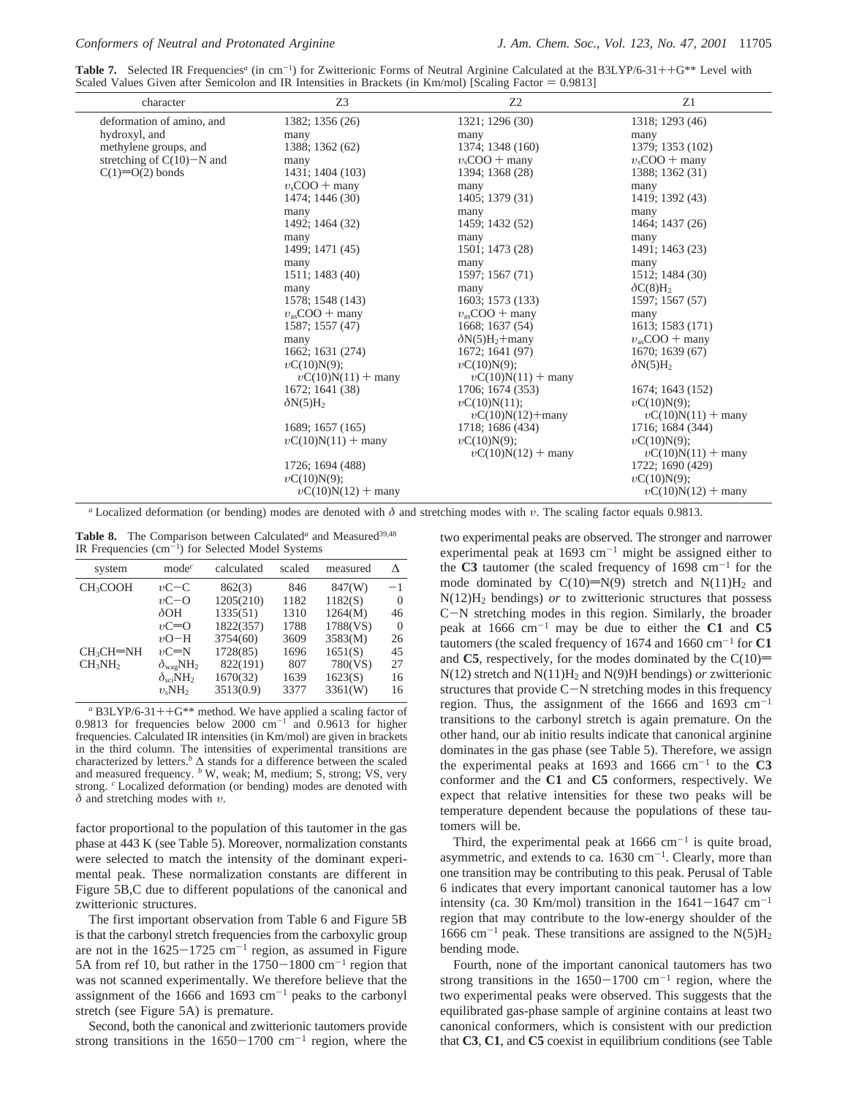**Table 7.** Selected IR Frequencies<sup>*a*</sup> (in cm<sup>-1</sup>) for Zwitterionic Forms of Neutral Arginine Calculated at the B3LYP/6-31++G<sup>\*\*</sup> Level with Scaled Values Given after Semicolon and IR Intensities in Brackets (in Km/mol) [ Scaled Values Given after Semicolon and IR Intensities in Brackets (in Km/mol) [Scaling Factor  $= 0.9813$ ]

| character                    | Z3                      | Z <sub>2</sub>          | Z1                      |
|------------------------------|-------------------------|-------------------------|-------------------------|
| deformation of amino, and    | 1382; 1356 (26)         | 1321; 1296 (30)         | 1318; 1293 (46)         |
| hydroxyl, and                | many                    | many                    | many                    |
| methylene groups, and        | 1388; 1362 (62)         | 1374; 1348 (160)        | 1379; 1353 (102)        |
| stretching of $C(10)$ –N and | many                    | $v_s$ COO + many        | $v_s$ COO + many        |
| $C(1)=O(2)$ bonds            | 1431; 1404 (103)        | 1394; 1368 (28)         | 1388; 1362 (31)         |
|                              | $v_s$ COO + many        | many                    | many                    |
|                              | 1474; 1446 (30)         | 1405; 1379 (31)         | 1419; 1392 (43)         |
|                              | many                    | many                    | many                    |
|                              | 1492; 1464 (32)         | 1459; 1432 (52)         | 1464; 1437 (26)         |
|                              | many                    | many                    | many                    |
|                              | 1499; 1471 (45)         | 1501; 1473 (28)         | 1491; 1463 (23)         |
|                              | many                    | many                    | many                    |
|                              | 1511; 1483 (40)         | 1597; 1567 (71)         | 1512; 1484 (30)         |
|                              | many                    | many                    | $\delta C(8)H_2$        |
|                              | 1578; 1548 (143)        | 1603; 1573 (133)        | 1597; 1567 (57)         |
|                              | $v_{\rm as}$ COO + many | $v_{\rm as}$ COO + many | many                    |
|                              | 1587; 1557 (47)         | 1668; 1637 (54)         | 1613; 1583 (171)        |
|                              | many                    | $\delta N(5)H_2 +$ many | $v_{\rm as}$ COO + many |
|                              | 1662; 1631 (274)        | 1672; 1641 (97)         | $1670$ ; $1639(67)$     |
|                              | $vC(10)N(9)$ ;          | $vC(10)N(9)$ ;          | $\delta N(5)H_2$        |
|                              | $vC(10)N(11) +$ many    | $vC(10)N(11) +$ many    |                         |
|                              | 1672; 1641 (38)         | 1706; 1674 (353)        | 1674; 1643 (152)        |
|                              | $\delta N(5)H_2$        | $vC(10)N(11)$ ;         | $vC(10)N(9)$ ;          |
|                              |                         | $vC(10)N(12) +$ many    | $vC(10)N(11) +$ many    |
|                              | 1689; 1657 (165)        | 1718; 1686 (434)        | 1716; 1684 (344)        |
|                              | $vC(10)N(11) +$ many    | $vC(10)N(9)$ ;          | $vC(10)N(9)$ ;          |
|                              |                         | $vC(10)N(12) +$ many    | $vC(10)N(11) +$ many    |
|                              | 1726; 1694 (488)        |                         | 1722; 1690 (429)        |
|                              | $vC(10)N(9)$ ;          |                         | $vC(10)N(9)$ ;          |
|                              | $vC(10)N(12) +$ many    |                         | $vC(10)N(12) +$ many    |
|                              |                         |                         |                         |

*<sup>a</sup>* Localized deformation (or bending) modes are denoted with *δ* and stretching modes with *υ*. The scaling factor equals 0.9813.

Table 8. The Comparison between Calculated<sup>*a*</sup> and Measured<sup>39,48</sup> IR Frequencies (cm-<sup>1</sup> ) for Selected Model Systems

| system                          | $\text{mode}^c$             | calculated | scaled | measured | л        |
|---------------------------------|-----------------------------|------------|--------|----------|----------|
| CH <sub>3</sub> COOH            | $vC-C$                      | 862(3)     | 846    | 847(W)   | $^{-1}$  |
|                                 | $vC-O$                      | 1205(210)  | 1182   | 1182(S)  | $\theta$ |
|                                 | $\delta$ OH                 | 1335(51)   | 1310   | 1264(M)  | 46       |
|                                 | $vC=O$                      | 1822(357)  | 1788   | 1788(VS) | $\Omega$ |
|                                 | $vO-H$                      | 3754(60)   | 3609   | 3583(M)  | 26       |
| $CH3CH=NH$                      | $vC=N$                      | 1728(85)   | 1696   | 1651(S)  | 45       |
| CH <sub>3</sub> NH <sub>2</sub> | $\delta_{\text{wag}}NH_2$   | 822(191)   | 807    | 780(VS)  | 27       |
|                                 | $\delta_{\rm sci}NH_2$      | 1670(32)   | 1639   | 1623(S)  | 16       |
|                                 | $v_{\rm s}$ NH <sub>2</sub> | 3513(0.9)  | 3377   | 3361(W)  | 16       |

*<sup>a</sup>* B3LYP/6-31++G\*\* method. We have applied a scaling factor of 0.9813 for frequencies below 2000  $cm^{-1}$  and 0.9613 for higher frequencies. Calculated IR intensities (in Km/mol) are given in brackets in the third column. The intensities of experimental transitions are characterized by letters.<sup>*b*</sup>  $\Delta$  stands for a difference between the scaled and measured frequency. <sup>*b*</sup> W, weak; M, medium; S, strong; VS, very strong. *<sup>c</sup>* Localized deformation (or bending) modes are denoted with *δ* and stretching modes with *υ*.

factor proportional to the population of this tautomer in the gas phase at 443 K (see Table 5). Moreover, normalization constants were selected to match the intensity of the dominant experimental peak. These normalization constants are different in Figure 5B,C due to different populations of the canonical and zwitterionic structures.

The first important observation from Table 6 and Figure 5B is that the carbonyl stretch frequencies from the carboxylic group are not in the  $1625-1725$  cm<sup>-1</sup> region, as assumed in Figure 5A from ref 10, but rather in the  $1750-1800$  cm<sup>-1</sup> region that was not scanned experimentally. We therefore believe that the assignment of the 1666 and 1693  $cm^{-1}$  peaks to the carbonyl stretch (see Figure 5A) is premature.

Second, both the canonical and zwitterionic tautomers provide strong transitions in the  $1650-1700$  cm<sup>-1</sup> region, where the two experimental peaks are observed. The stronger and narrower experimental peak at  $1693 \text{ cm}^{-1}$  might be assigned either to the  $C3$  tautomer (the scaled frequency of 1698 cm<sup>-1</sup> for the mode dominated by  $C(10)=N(9)$  stretch and  $N(11)H_2$  and N(12)H2 bendings) *or* to zwitterionic structures that possess <sup>C</sup>-N stretching modes in this region. Similarly, the broader peak at  $1666 \text{ cm}^{-1}$  may be due to either the **C1** and **C5** tautomers (the scaled frequency of  $1674$  and  $1660 \text{ cm}^{-1}$  for **C1** and C5, respectively, for the modes dominated by the  $C(10)$ = N(12) stretch and N(11)H2 and N(9)H bendings) *or* zwitterionic structures that provide  $C-N$  stretching modes in this frequency region. Thus, the assignment of the 1666 and 1693  $cm^{-1}$ transitions to the carbonyl stretch is again premature. On the other hand, our ab initio results indicate that canonical arginine dominates in the gas phase (see Table 5). Therefore, we assign the experimental peaks at  $1693$  and  $1666$  cm<sup>-1</sup> to the C3 conformer and the **C1** and **C5** conformers, respectively. We expect that relative intensities for these two peaks will be temperature dependent because the populations of these tautomers will be.

Third, the experimental peak at  $1666 \text{ cm}^{-1}$  is quite broad, asymmetric, and extends to ca.  $1630 \text{ cm}^{-1}$ . Clearly, more than one transition may be contributing to this peak. Perusal of Table 6 indicates that every important canonical tautomer has a low intensity (ca. 30 Km/mol) transition in the  $1641-1647$  cm<sup>-1</sup> region that may contribute to the low-energy shoulder of the 1666 cm<sup>-1</sup> peak. These transitions are assigned to the  $N(5)H_2$ bending mode.

Fourth, none of the important canonical tautomers has two strong transitions in the  $1650-1700$  cm<sup>-1</sup> region, where the two experimental peaks were observed. This suggests that the equilibrated gas-phase sample of arginine contains at least two canonical conformers, which is consistent with our prediction that **C3**, **C1**, and **C5** coexist in equilibrium conditions (see Table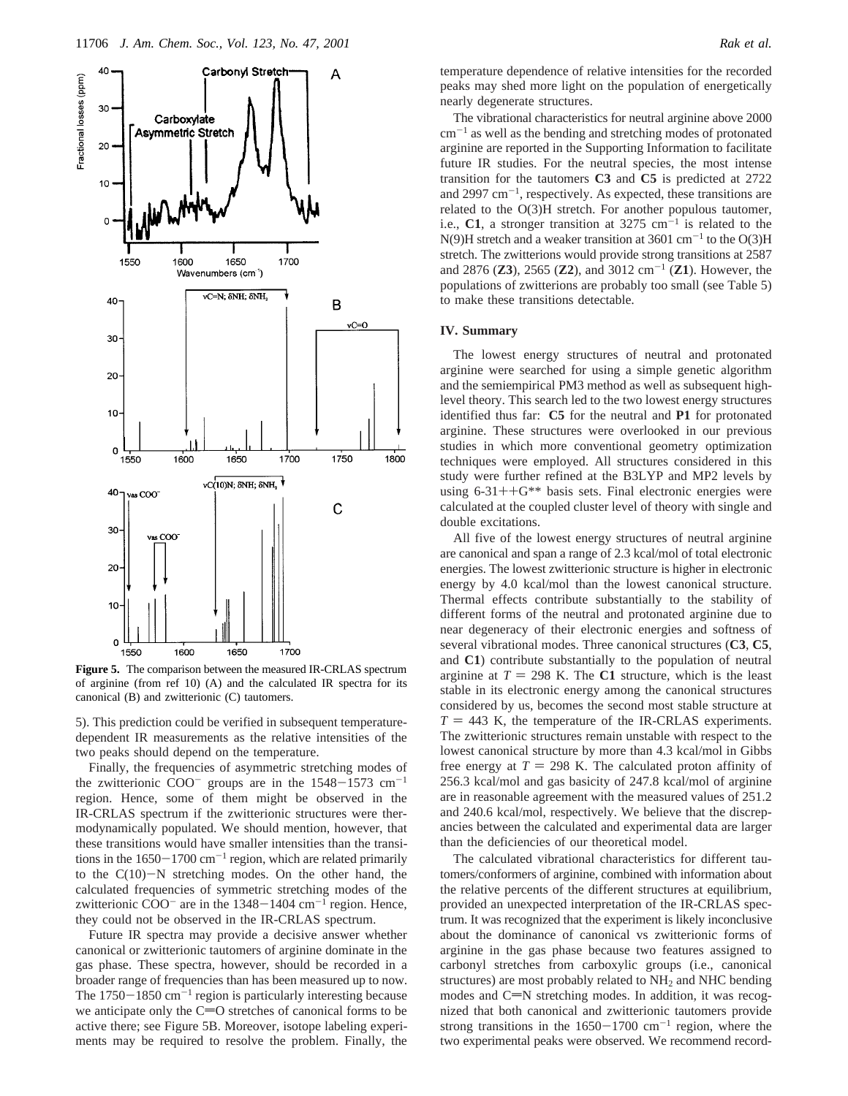

**Figure 5.** The comparison between the measured IR-CRLAS spectrum of arginine (from ref 10) (A) and the calculated IR spectra for its canonical (B) and zwitterionic (C) tautomers.

5). This prediction could be verified in subsequent temperaturedependent IR measurements as the relative intensities of the two peaks should depend on the temperature.

Finally, the frequencies of asymmetric stretching modes of the zwitterionic  $COO^-$  groups are in the  $1548-1573$  cm<sup>-1</sup> region. Hence, some of them might be observed in the IR-CRLAS spectrum if the zwitterionic structures were thermodynamically populated. We should mention, however, that these transitions would have smaller intensities than the transitions in the  $1650-1700$  cm<sup>-1</sup> region, which are related primarily to the  $C(10)-N$  stretching modes. On the other hand, the calculated frequencies of symmetric stretching modes of the zwitterionic  $COO<sup>-</sup>$  are in the 1348-1404 cm<sup>-1</sup> region. Hence, they could not be observed in the IR-CRLAS spectrum.

Future IR spectra may provide a decisive answer whether canonical or zwitterionic tautomers of arginine dominate in the gas phase. These spectra, however, should be recorded in a broader range of frequencies than has been measured up to now. The  $1750-1850$  cm<sup>-1</sup> region is particularly interesting because we anticipate only the  $C=O$  stretches of canonical forms to be active there; see Figure 5B. Moreover, isotope labeling experiments may be required to resolve the problem. Finally, the

temperature dependence of relative intensities for the recorded peaks may shed more light on the population of energetically nearly degenerate structures.

The vibrational characteristics for neutral arginine above 2000  $cm^{-1}$  as well as the bending and stretching modes of protonated arginine are reported in the Supporting Information to facilitate future IR studies. For the neutral species, the most intense transition for the tautomers **C3** and **C5** is predicted at 2722 and 2997  $cm^{-1}$ , respectively. As expected, these transitions are related to the O(3)H stretch. For another populous tautomer, i.e.,  $C1$ , a stronger transition at 3275 cm<sup>-1</sup> is related to the  $N(9)$ H stretch and a weaker transition at 3601 cm<sup>-1</sup> to the O(3)H stretch. The zwitterions would provide strong transitions at 2587 and 2876 (**Z3**), 2565 (**Z2**), and 3012 cm<sup>-1</sup> (**Z1**). However, the populations of zwitterions are probably too small (see Table 5) to make these transitions detectable.

### **IV. Summary**

The lowest energy structures of neutral and protonated arginine were searched for using a simple genetic algorithm and the semiempirical PM3 method as well as subsequent highlevel theory. This search led to the two lowest energy structures identified thus far: **C5** for the neutral and **P1** for protonated arginine. These structures were overlooked in our previous studies in which more conventional geometry optimization techniques were employed. All structures considered in this study were further refined at the B3LYP and MP2 levels by using  $6-31++G**$  basis sets. Final electronic energies were calculated at the coupled cluster level of theory with single and double excitations.

All five of the lowest energy structures of neutral arginine are canonical and span a range of 2.3 kcal/mol of total electronic energies. The lowest zwitterionic structure is higher in electronic energy by 4.0 kcal/mol than the lowest canonical structure. Thermal effects contribute substantially to the stability of different forms of the neutral and protonated arginine due to near degeneracy of their electronic energies and softness of several vibrational modes. Three canonical structures (**C3**, **C5**, and **C1**) contribute substantially to the population of neutral arginine at  $T = 298$  K. The C1 structure, which is the least stable in its electronic energy among the canonical structures considered by us, becomes the second most stable structure at  $T = 443$  K, the temperature of the IR-CRLAS experiments. The zwitterionic structures remain unstable with respect to the lowest canonical structure by more than 4.3 kcal/mol in Gibbs free energy at  $T = 298$  K. The calculated proton affinity of 256.3 kcal/mol and gas basicity of 247.8 kcal/mol of arginine are in reasonable agreement with the measured values of 251.2 and 240.6 kcal/mol, respectively. We believe that the discrepancies between the calculated and experimental data are larger than the deficiencies of our theoretical model.

The calculated vibrational characteristics for different tautomers/conformers of arginine, combined with information about the relative percents of the different structures at equilibrium, provided an unexpected interpretation of the IR-CRLAS spectrum. It was recognized that the experiment is likely inconclusive about the dominance of canonical vs zwitterionic forms of arginine in the gas phase because two features assigned to carbonyl stretches from carboxylic groups (i.e., canonical structures) are most probably related to NH2 and NHC bending modes and  $C=N$  stretching modes. In addition, it was recognized that both canonical and zwitterionic tautomers provide strong transitions in the  $1650-1700$  cm<sup>-1</sup> region, where the two experimental peaks were observed. We recommend record